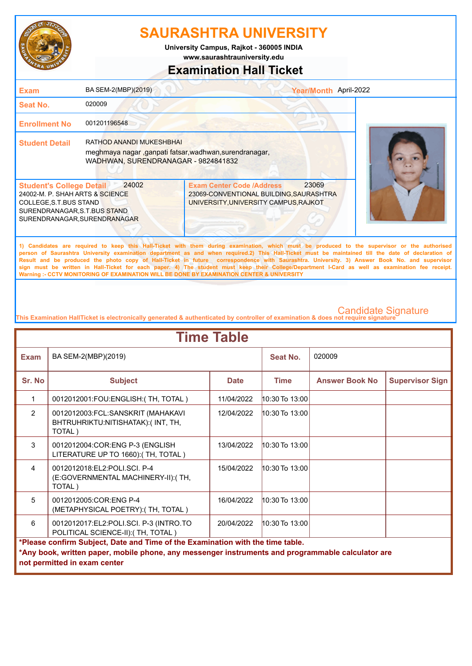

**www.saurashtrauniversity.edu University Campus, Rajkot - 360005 INDIA**

### **Examination Hall Ticket**

| <b>Exam</b>                                                                                                                                                  | BA SEM-2(MBP)(2019)                                                                                                      |                                                                                                                                              | Year/Month April-2022 |  |
|--------------------------------------------------------------------------------------------------------------------------------------------------------------|--------------------------------------------------------------------------------------------------------------------------|----------------------------------------------------------------------------------------------------------------------------------------------|-----------------------|--|
| Seat No.                                                                                                                                                     | 020009                                                                                                                   |                                                                                                                                              |                       |  |
| <b>Enrollment No</b>                                                                                                                                         | 001201196548                                                                                                             |                                                                                                                                              |                       |  |
| <b>Student Detail</b>                                                                                                                                        | RATHOD ANANDI MUKESHBHAI<br>meghmaya nagar ,ganpati fatsar,wadhwan,surendranagar,<br>WADHWAN, SURENDRANAGAR - 9824841832 |                                                                                                                                              |                       |  |
| <b>Student's College Detail</b><br>24002-M. P. SHAH ARTS & SCIENCE<br>COLLEGE, S.T.BUS STAND<br>SURENDRANAGAR, S.T.BUS STAND<br>SURENDRANAGAR, SURENDRANAGAR | 24002                                                                                                                    | <b>Exam Center Code /Address</b><br>23069-CONVENTIONAL BUILDING, SAURASHTRA<br>UNIVERSITY, UNIVERSITY CAMPUS, RAJKOT                         | 23069                 |  |
|                                                                                                                                                              |                                                                                                                          | 1) Candidates are required to keep this Hall-Ticket with them during examination, which must be produced to the supervisor or the authorised |                       |  |

**person of Saurashtra University examination department as and when required.2) This Hall-Ticket must be maintained till the date of declaration of Result and be produced the photo copy of Hall-Ticket in future correspondence with Saurashtra. University. 3) Answer Book No. and supervisor sign must be written in Hall-Ticket for each paper. 4) The student must keep their College/Department I-Card as well as examination fee receipt. Warning :- CCTV MONITORING OF EXAMINATION WILL BE DONE BY EXAMINATION CENTER & UNIVERSITY**

| <b>Time Table</b>                                                              |                                                                                                                                   |             |                    |                       |                        |
|--------------------------------------------------------------------------------|-----------------------------------------------------------------------------------------------------------------------------------|-------------|--------------------|-----------------------|------------------------|
| <b>Exam</b>                                                                    | BA SEM-2(MBP)(2019)                                                                                                               |             | Seat No.           | 020009                |                        |
| Sr. No                                                                         | <b>Subject</b>                                                                                                                    | <b>Date</b> | <b>Time</b>        | <b>Answer Book No</b> | <b>Supervisor Sign</b> |
| 1                                                                              | 0012012001: FOU: ENGLISH: (TH, TOTAL)                                                                                             | 11/04/2022  | 10:30 To 13:00     |                       |                        |
| $\overline{2}$                                                                 | 0012012003:FCL:SANSKRIT (MAHAKAVI<br>BHTRUHRIKTU:NITISHATAK):(INT, TH,<br>TOTAL)                                                  | 12/04/2022  | $10:30$ To $13:00$ |                       |                        |
| 3                                                                              | 0012012004:COR:ENG P-3 (ENGLISH<br>LITERATURE UP TO 1660): (TH, TOTAL)                                                            | 13/04/2022  | $10:30$ To $13:00$ |                       |                        |
| $\overline{4}$                                                                 | 0012012018:EL2:POLI.SCI. P-4<br>(E:GOVERNMENTAL MACHINERY-II): (TH,<br>TOTAL)                                                     | 15/04/2022  | $10:30$ To $13:00$ |                       |                        |
| 5                                                                              | 0012012005:COR:ENG P-4<br>(METAPHYSICAL POETRY): (TH, TOTAL)                                                                      | 16/04/2022  | 10:30 To 13:00     |                       |                        |
| 6                                                                              | 0012012017:EL2:POLI.SCI. P-3 (INTRO.TO<br>POLITICAL SCIENCE-II):(TH, TOTAL)                                                       | 20/04/2022  | $10:30$ To $13:00$ |                       |                        |
| *Please confirm Subject, Date and Time of the Examination with the time table. |                                                                                                                                   |             |                    |                       |                        |
|                                                                                | *Any book, written paper, mobile phone, any messenger instruments and programmable calculator are<br>not permitted in exam center |             |                    |                       |                        |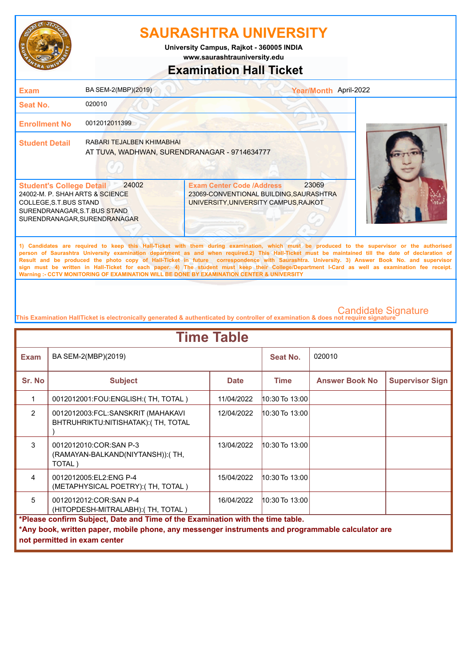

**www.saurashtrauniversity.edu University Campus, Rajkot - 360005 INDIA**

### **Examination Hall Ticket**

| Exam                                                                                                                                                         | BA SEM-2(MBP)(2019)                                                       |                                                                                                                                                                                                                                                                                                                                                                                                                                                                                                                                                                                                        | Year/Month April-2022 |
|--------------------------------------------------------------------------------------------------------------------------------------------------------------|---------------------------------------------------------------------------|--------------------------------------------------------------------------------------------------------------------------------------------------------------------------------------------------------------------------------------------------------------------------------------------------------------------------------------------------------------------------------------------------------------------------------------------------------------------------------------------------------------------------------------------------------------------------------------------------------|-----------------------|
| Seat No.                                                                                                                                                     | 020010                                                                    |                                                                                                                                                                                                                                                                                                                                                                                                                                                                                                                                                                                                        |                       |
| <b>Enrollment No</b>                                                                                                                                         | 0012012011399                                                             |                                                                                                                                                                                                                                                                                                                                                                                                                                                                                                                                                                                                        |                       |
| <b>Student Detail</b>                                                                                                                                        | RABARI TEJALBEN KHIMABHAI<br>AT TUVA, WADHWAN, SURENDRANAGAR - 9714634777 |                                                                                                                                                                                                                                                                                                                                                                                                                                                                                                                                                                                                        |                       |
| <b>Student's College Detail</b><br>24002-M. P. SHAH ARTS & SCIENCE<br>COLLEGE, S.T.BUS STAND<br>SURENDRANAGAR, S.T.BUS STAND<br>SURENDRANAGAR, SURENDRANAGAR | 24002                                                                     | 23069<br><b>Exam Center Code /Address</b><br>23069-CONVENTIONAL BUILDING, SAURASHTRA<br>UNIVERSITY, UNIVERSITY CAMPUS, RAJKOT                                                                                                                                                                                                                                                                                                                                                                                                                                                                          |                       |
|                                                                                                                                                              |                                                                           | 1) Candidates are required to keep this Hall-Ticket with them during examination, which must be produced to the supervisor or the authorised<br>person of Saurashtra University examination department as and when required.2) This Hall-Ticket must be maintained till the date of declaration of<br>Result and be produced the photo copy of Hall-Ticket in future correspondence with Saurashtra. University. 3) Answer Book No. and supervisor<br>sign must be written in Hall-Ticket for each paper. 4) The student must keep their College/Department I-Card as well as examination fee receipt. |                       |

**This Examination HallTicket is electronically generated & authenticated by controller of examination & does not require signature** 

| <b>Time Table</b>                                                              |                                                                                                                                   |             |                    |                       |                        |
|--------------------------------------------------------------------------------|-----------------------------------------------------------------------------------------------------------------------------------|-------------|--------------------|-----------------------|------------------------|
| <b>Exam</b>                                                                    | BA SEM-2(MBP)(2019)                                                                                                               |             | Seat No.           | 020010                |                        |
| Sr. No                                                                         | <b>Subject</b>                                                                                                                    | <b>Date</b> | <b>Time</b>        | <b>Answer Book No</b> | <b>Supervisor Sign</b> |
| 1                                                                              | 0012012001:FOU:ENGLISH:(TH, TOTAL)                                                                                                | 11/04/2022  | 10:30 To 13:00     |                       |                        |
| $\overline{2}$                                                                 | 0012012003:FCL:SANSKRIT (MAHAKAVI<br>BHTRUHRIKTU:NITISHATAK): (TH, TOTAL                                                          | 12/04/2022  | 10:30 To 13:00     |                       |                        |
| 3                                                                              | 0012012010:COR:SAN P-3<br>(RAMAYAN-BALKAND(NIYTANSH)):(TH,<br>TOTAL)                                                              | 13/04/2022  | 10:30 To 13:00     |                       |                        |
| $\overline{4}$                                                                 | 0012012005:EL2:ENG P-4<br>(METAPHYSICAL POETRY): (TH, TOTAL)                                                                      | 15/04/2022  | 10:30 To 13:00     |                       |                        |
| 5                                                                              | 0012012012: COR: SAN P-4<br>(HITOPDESH-MITRALABH): (TH, TOTAL)                                                                    | 16/04/2022  | $10:30$ To $13:00$ |                       |                        |
| *Please confirm Subject, Date and Time of the Examination with the time table. |                                                                                                                                   |             |                    |                       |                        |
|                                                                                | *Any book, written paper, mobile phone, any messenger instruments and programmable calculator are<br>not permitted in exam center |             |                    |                       |                        |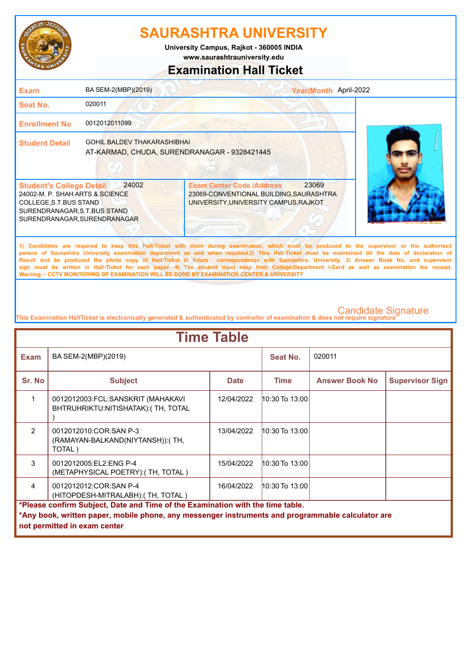

**www.saurashtrauniversity.edu University Campus, Rajkot - 360005 INDIA**

### **Examination Hall Ticket**

| <b>Exam</b>                                                                                                                                                  | BA SEM-2(MBP)(2019)                                                                |                                                                                                                      | Year/Month April-2022 |                                                                                                                                                                                                                                                                                                                                                                                                                                                                                                                                                                                                        |
|--------------------------------------------------------------------------------------------------------------------------------------------------------------|------------------------------------------------------------------------------------|----------------------------------------------------------------------------------------------------------------------|-----------------------|--------------------------------------------------------------------------------------------------------------------------------------------------------------------------------------------------------------------------------------------------------------------------------------------------------------------------------------------------------------------------------------------------------------------------------------------------------------------------------------------------------------------------------------------------------------------------------------------------------|
| <b>Seat No.</b>                                                                                                                                              | 020011                                                                             |                                                                                                                      |                       |                                                                                                                                                                                                                                                                                                                                                                                                                                                                                                                                                                                                        |
| <b>Enrollment No</b>                                                                                                                                         | 0012012011099                                                                      |                                                                                                                      |                       |                                                                                                                                                                                                                                                                                                                                                                                                                                                                                                                                                                                                        |
| <b>Student Detail</b>                                                                                                                                        | <b>GOHIL BALDEV THAKARASHIBHAI</b><br>AT-KARMAD, CHUDA, SURENDRANAGAR - 9328421445 |                                                                                                                      |                       |                                                                                                                                                                                                                                                                                                                                                                                                                                                                                                                                                                                                        |
| <b>Student's College Detail</b><br>24002-M. P. SHAH ARTS & SCIENCE<br>COLLEGE, S.T.BUS STAND<br>SURENDRANAGAR, S.T.BUS STAND<br>SURENDRANAGAR, SURENDRANAGAR | 24002                                                                              | <b>Exam Center Code /Address</b><br>23069-CONVENTIONAL BUILDING, SAURASHTRA<br>UNIVERSITY, UNIVERSITY CAMPUS, RAJKOT | 23069                 |                                                                                                                                                                                                                                                                                                                                                                                                                                                                                                                                                                                                        |
|                                                                                                                                                              |                                                                                    |                                                                                                                      |                       | 1) Candidates are required to keep this Hall-Ticket with them during examination, which must be produced to the supervisor or the authorised<br>person of Saurashtra University examination department as and when required.2) This Hall-Ticket must be maintained till the date of declaration of<br>Result and be produced the photo copy of Hall-Ticket in future correspondence with Saurashtra. University. 3) Answer Book No. and supervisor<br>sign must be written in Hall-Ticket for each paper. 4) The student must keep their College/Department I-Card as well as examination fee receipt. |

**This Examination HallTicket is electronically generated & authenticated by controller of examination & does not require signature** 

| <b>Time Table</b> |                                                                                                                                   |             |                |                       |                        |
|-------------------|-----------------------------------------------------------------------------------------------------------------------------------|-------------|----------------|-----------------------|------------------------|
| <b>Exam</b>       | BA SEM-2(MBP)(2019)                                                                                                               |             | Seat No.       | 020011                |                        |
| Sr. No            | <b>Subject</b>                                                                                                                    | <b>Date</b> | <b>Time</b>    | <b>Answer Book No</b> | <b>Supervisor Sign</b> |
| 1                 | 0012012003:FCL:SANSKRIT (MAHAKAVI<br>BHTRUHRIKTU: NITISHATAK): (TH, TOTAL                                                         | 12/04/2022  | 10:30 To 13:00 |                       |                        |
| $\mathfrak{p}$    | 0012012010:COR:SAN P-3<br>(RAMAYAN-BALKAND(NIYTANSH)): (TH,<br>TOTAL)                                                             | 13/04/2022  | 10:30 To 13:00 |                       |                        |
| 3                 | 0012012005:EL2:ENG P-4<br>(METAPHYSICAL POETRY): (TH, TOTAL)                                                                      | 15/04/2022  | 10:30 To 13:00 |                       |                        |
| $\overline{4}$    | 0012012012: COR: SAN P-4<br>(HITOPDESH-MITRALABH): (TH, TOTAL)                                                                    | 16/04/2022  | 10:30 To 13:00 |                       |                        |
|                   | *Please confirm Subject, Date and Time of the Examination with the time table.                                                    |             |                |                       |                        |
|                   | *Any book, written paper, mobile phone, any messenger instruments and programmable calculator are<br>not permitted in exam center |             |                |                       |                        |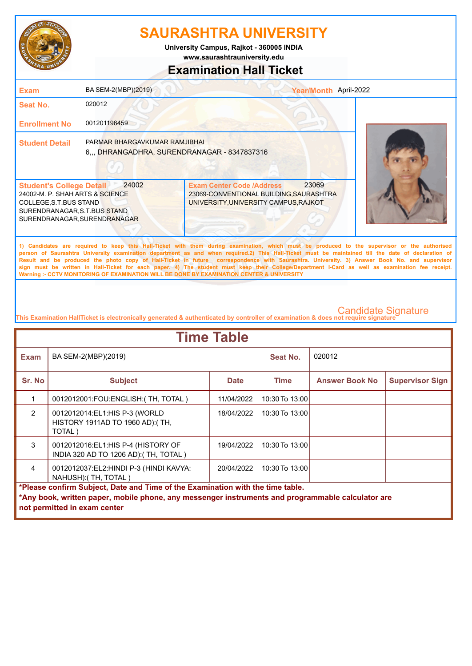

**www.saurashtrauniversity.edu University Campus, Rajkot - 360005 INDIA**

### **Examination Hall Ticket**

| <b>Exam</b>                                                                                                                                                  | BA SEM-2(MBP)(2019)                                                           |                                                                                                                                                                                                                                                                                                                                                                                                                                                                                                                                                                                                        | Year/Month April-2022 |  |
|--------------------------------------------------------------------------------------------------------------------------------------------------------------|-------------------------------------------------------------------------------|--------------------------------------------------------------------------------------------------------------------------------------------------------------------------------------------------------------------------------------------------------------------------------------------------------------------------------------------------------------------------------------------------------------------------------------------------------------------------------------------------------------------------------------------------------------------------------------------------------|-----------------------|--|
| Seat No.                                                                                                                                                     | 020012                                                                        |                                                                                                                                                                                                                                                                                                                                                                                                                                                                                                                                                                                                        |                       |  |
| <b>Enrollment No</b>                                                                                                                                         | 001201196459                                                                  |                                                                                                                                                                                                                                                                                                                                                                                                                                                                                                                                                                                                        |                       |  |
| <b>Student Detail</b>                                                                                                                                        | PARMAR BHARGAVKUMAR RAMJIBHAI<br>6,,, DHRANGADHRA, SURENDRANAGAR - 8347837316 |                                                                                                                                                                                                                                                                                                                                                                                                                                                                                                                                                                                                        |                       |  |
| <b>Student's College Detail</b><br>24002-M. P. SHAH ARTS & SCIENCE<br>COLLEGE, S.T.BUS STAND<br>SURENDRANAGAR, S.T.BUS STAND<br>SURENDRANAGAR, SURENDRANAGAR | 24002                                                                         | <b>Exam Center Code /Address</b><br>23069-CONVENTIONAL BUILDING, SAURASHTRA<br>UNIVERSITY, UNIVERSITY CAMPUS, RAJKOT                                                                                                                                                                                                                                                                                                                                                                                                                                                                                   | 23069                 |  |
|                                                                                                                                                              |                                                                               | 1) Candidates are required to keep this Hall-Ticket with them during examination, which must be produced to the supervisor or the authorised<br>person of Saurashtra University examination department as and when required.2) This Hall-Ticket must be maintained till the date of declaration of<br>Result and be produced the photo copy of Hall-Ticket in future correspondence with Saurashtra. University. 3) Answer Book No. and supervisor<br>sign must be written in Hall-Ticket for each paper. 4) The student must keep their College/Department I-Card as well as examination fee receipt. |                       |  |

**This Examination HallTicket is electronically generated & authenticated by controller of examination & does not require signature** 

| <b>Time Table</b>                                                              |                                                                                                   |             |                |                       |                        |  |
|--------------------------------------------------------------------------------|---------------------------------------------------------------------------------------------------|-------------|----------------|-----------------------|------------------------|--|
| <b>Exam</b>                                                                    | BA SEM-2(MBP)(2019)                                                                               |             | Seat No.       | 020012                |                        |  |
| Sr. No                                                                         | <b>Subject</b>                                                                                    | <b>Date</b> | <b>Time</b>    | <b>Answer Book No</b> | <b>Supervisor Sign</b> |  |
|                                                                                | 0012012001: FOU: ENGLISH: (TH, TOTAL)                                                             | 11/04/2022  | 10:30 To 13:00 |                       |                        |  |
| $\overline{2}$                                                                 | 0012012014:EL1:HIS P-3 (WORLD<br>HISTORY 1911AD TO 1960 AD):(TH,<br>TOTAL)                        | 18/04/2022  | 10:30 To 13:00 |                       |                        |  |
| 3                                                                              | 0012012016: EL1: HIS P-4 (HISTORY OF<br>INDIA 320 AD TO 1206 AD): (TH, TOTAL)                     | 19/04/2022  | 10:30 To 13:00 |                       |                        |  |
| $\overline{4}$                                                                 | 0012012037:EL2:HINDI P-3 (HINDI KAVYA:<br>NAHUSH): (TH, TOTAL)                                    | 20/04/2022  | 10:30 To 13:00 |                       |                        |  |
| *Please confirm Subject, Date and Time of the Examination with the time table. |                                                                                                   |             |                |                       |                        |  |
|                                                                                | *Any book, written paper, mobile phone, any messenger instruments and programmable calculator are |             |                |                       |                        |  |
|                                                                                | not permitted in exam center                                                                      |             |                |                       |                        |  |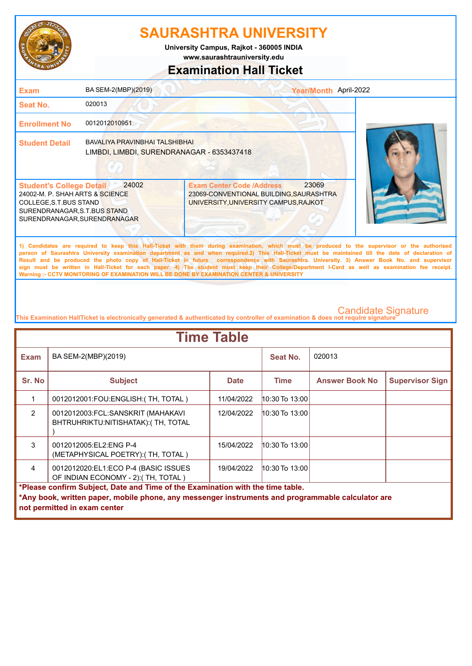

**www.saurashtrauniversity.edu University Campus, Rajkot - 360005 INDIA**

### **Examination Hall Ticket**

| <b>Exam</b>                                                                                                                                                  | BA SEM-2(MBP)(2019)                                                          |                                                                                                                                                                                                                                                                                                                                                                                                                                                    | Year/Month April-2022 |
|--------------------------------------------------------------------------------------------------------------------------------------------------------------|------------------------------------------------------------------------------|----------------------------------------------------------------------------------------------------------------------------------------------------------------------------------------------------------------------------------------------------------------------------------------------------------------------------------------------------------------------------------------------------------------------------------------------------|-----------------------|
| <b>Seat No.</b>                                                                                                                                              | 020013                                                                       |                                                                                                                                                                                                                                                                                                                                                                                                                                                    |                       |
| <b>Enrollment No</b>                                                                                                                                         | 0012012010951                                                                |                                                                                                                                                                                                                                                                                                                                                                                                                                                    |                       |
| <b>Student Detail</b>                                                                                                                                        | BAVALIYA PRAVINBHAI TALSHIBHAI<br>LIMBDI, LIMBDI, SURENDRANAGAR - 6353437418 |                                                                                                                                                                                                                                                                                                                                                                                                                                                    |                       |
| <b>Student's College Detail</b><br>24002-M. P. SHAH ARTS & SCIENCE<br>COLLEGE, S.T.BUS STAND<br>SURENDRANAGAR, S.T.BUS STAND<br>SURENDRANAGAR, SURENDRANAGAR | 24002                                                                        | 23069<br><b>Exam Center Code /Address</b><br>23069-CONVENTIONAL BUILDING, SAURASHTRA<br>UNIVERSITY, UNIVERSITY CAMPUS, RAJKOT                                                                                                                                                                                                                                                                                                                      |                       |
|                                                                                                                                                              |                                                                              | 1) Candidates are required to keep this Hall-Ticket with them during examination, which must be produced to the supervisor or the authorised<br>person of Saurashtra University examination department as and when required.2) This Hall-Ticket must be maintained till the date of declaration of<br>Result and be produced the photo copy of Hall-Ticket in future correspondence with Saurashtra, University, 3) Answer Book No. and supervisor |                       |

**Result and be produced the photo copy of Hall-Ticket in future correspondence with Saurashtra. University. 3) Answer Book No. and supervisor sign must be written in Hall-Ticket for each paper. 4) The student must keep their College/Department I-Card as well as examination fee receipt. Warning :- CCTV MONITORING OF EXAMINATION WILL BE DONE BY EXAMINATION CENTER & UNIVERSITY**

| <b>Time Table</b>                                                              |                                                                                                   |             |                    |                       |                        |  |
|--------------------------------------------------------------------------------|---------------------------------------------------------------------------------------------------|-------------|--------------------|-----------------------|------------------------|--|
| <b>Exam</b>                                                                    | BA SEM-2(MBP)(2019)                                                                               |             | Seat No.           | 020013                |                        |  |
| Sr. No                                                                         | <b>Subject</b>                                                                                    | <b>Date</b> | <b>Time</b>        | <b>Answer Book No</b> | <b>Supervisor Sign</b> |  |
|                                                                                | 0012012001:FOU:ENGLISH: (TH, TOTAL)                                                               | 11/04/2022  | 10:30 To 13:00     |                       |                        |  |
| $\mathfrak{p}$                                                                 | 0012012003:FCL:SANSKRIT (MAHAKAVI<br>BHTRUHRIKTU:NITISHATAK): (TH, TOTAL                          | 12/04/2022  | 10:30 To 13:00     |                       |                        |  |
| 3                                                                              | 0012012005:EL2:ENG P-4<br>(METAPHYSICAL POETRY): (TH, TOTAL)                                      | 15/04/2022  | $10:30$ To $13:00$ |                       |                        |  |
| 4                                                                              | 0012012020:EL1:ECO P-4 (BASIC ISSUES<br>OF INDIAN ECONOMY - 2): (TH, TOTAL)                       | 19/04/2022  | $10:30$ To $13:00$ |                       |                        |  |
| *Please confirm Subject, Date and Time of the Examination with the time table. |                                                                                                   |             |                    |                       |                        |  |
|                                                                                | *Any book, written paper, mobile phone, any messenger instruments and programmable calculator are |             |                    |                       |                        |  |
|                                                                                | not permitted in exam center                                                                      |             |                    |                       |                        |  |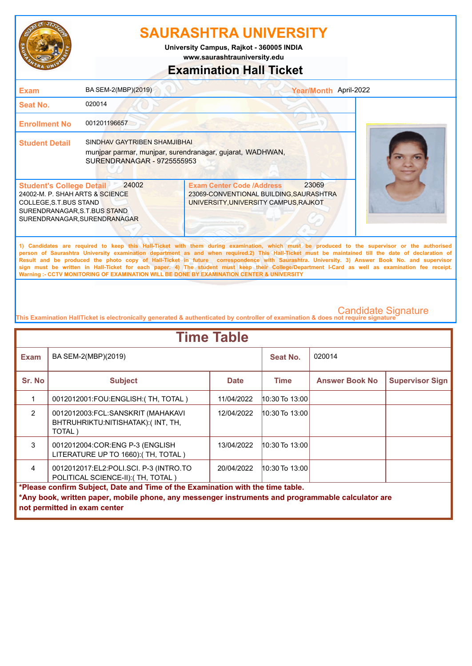

**www.saurashtrauniversity.edu University Campus, Rajkot - 360005 INDIA**

### **Examination Hall Ticket**

| <b>Exam</b>                                                                                                                                                  | BA SEM-2(MBP)(2019)                                        | Year/Month April-2022                                                                                                                                                                                                                                                                                                                                                                                                                                                                                                                                                                                  |  |
|--------------------------------------------------------------------------------------------------------------------------------------------------------------|------------------------------------------------------------|--------------------------------------------------------------------------------------------------------------------------------------------------------------------------------------------------------------------------------------------------------------------------------------------------------------------------------------------------------------------------------------------------------------------------------------------------------------------------------------------------------------------------------------------------------------------------------------------------------|--|
| Seat No.                                                                                                                                                     | 020014                                                     |                                                                                                                                                                                                                                                                                                                                                                                                                                                                                                                                                                                                        |  |
| <b>Enrollment No</b>                                                                                                                                         | 001201196657                                               |                                                                                                                                                                                                                                                                                                                                                                                                                                                                                                                                                                                                        |  |
| <b>Student Detail</b>                                                                                                                                        | SINDHAV GAYTRIBEN SHAMJIBHAI<br>SURENDRANAGAR - 9725555953 | munipar parmar, munipar, surendranagar, gujarat, WADHWAN,                                                                                                                                                                                                                                                                                                                                                                                                                                                                                                                                              |  |
| <b>Student's College Detail</b><br>24002-M. P. SHAH ARTS & SCIENCE<br>COLLEGE, S.T.BUS STAND<br>SURENDRANAGAR, S.T.BUS STAND<br>SURENDRANAGAR, SURENDRANAGAR | 24002                                                      | 23069<br><b>Exam Center Code /Address</b><br>23069-CONVENTIONAL BUILDING, SAURASHTRA<br>UNIVERSITY, UNIVERSITY CAMPUS, RAJKOT                                                                                                                                                                                                                                                                                                                                                                                                                                                                          |  |
|                                                                                                                                                              |                                                            | 1) Candidates are required to keep this Hall-Ticket with them during examination, which must be produced to the supervisor or the authorised<br>person of Saurashtra University examination department as and when required.2) This Hall-Ticket must be maintained till the date of declaration of<br>Result and be produced the photo copy of Hall-Ticket in future correspondence with Saurashtra. University. 3) Answer Book No. and supervisor<br>sign must be written in Hall-Ticket for each paper. 4) The student must keep their College/Department I-Card as well as examination fee receipt. |  |

**This Examination HallTicket is electronically generated & authenticated by controller of examination & does not require signature** 

| <b>Time Table</b>                                                              |                                                                                                   |             |                    |                       |                        |  |
|--------------------------------------------------------------------------------|---------------------------------------------------------------------------------------------------|-------------|--------------------|-----------------------|------------------------|--|
| <b>Exam</b>                                                                    | BA SEM-2(MBP)(2019)                                                                               |             | Seat No.           | 020014                |                        |  |
| Sr. No                                                                         | <b>Subject</b>                                                                                    | <b>Date</b> | <b>Time</b>        | <b>Answer Book No</b> | <b>Supervisor Sign</b> |  |
|                                                                                | 0012012001:FOU:ENGLISH: (TH, TOTAL)                                                               | 11/04/2022  | 10:30 To 13:00     |                       |                        |  |
| 2                                                                              | 0012012003:FCL:SANSKRIT (MAHAKAVI<br>BHTRUHRIKTU:NITISHATAK):(INT, TH,<br>TOTAL)                  | 12/04/2022  | 10:30 To 13:00     |                       |                        |  |
| 3                                                                              | 0012012004: COR: ENG P-3 (ENGLISH<br>LITERATURE UP TO 1660): (TH, TOTAL)                          | 13/04/2022  | $10:30$ To $13:00$ |                       |                        |  |
| 4                                                                              | 0012012017:EL2:POLI.SCI. P-3 (INTRO.TO<br>POLITICAL SCIENCE-II):(TH, TOTAL)                       | 20/04/2022  | $10:30$ To $13:00$ |                       |                        |  |
| *Please confirm Subject, Date and Time of the Examination with the time table. |                                                                                                   |             |                    |                       |                        |  |
|                                                                                | *Any book, written paper, mobile phone, any messenger instruments and programmable calculator are |             |                    |                       |                        |  |
|                                                                                | not permitted in exam center                                                                      |             |                    |                       |                        |  |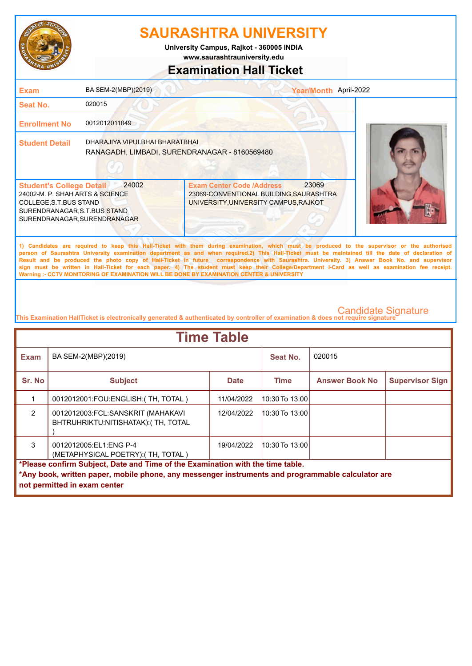

**www.saurashtrauniversity.edu University Campus, Rajkot - 360005 INDIA**

# **Examination Hall Ticket**

| <b>Exam</b>                                                                                                                                                  | BA SEM-2(MBP)(2019)                                                             | Year/Month April-2022                                                                                                                                                                                                                                                                                                                                                                                                                                                                                                                                                                                                                                                                               |  |
|--------------------------------------------------------------------------------------------------------------------------------------------------------------|---------------------------------------------------------------------------------|-----------------------------------------------------------------------------------------------------------------------------------------------------------------------------------------------------------------------------------------------------------------------------------------------------------------------------------------------------------------------------------------------------------------------------------------------------------------------------------------------------------------------------------------------------------------------------------------------------------------------------------------------------------------------------------------------------|--|
| Seat No.                                                                                                                                                     | 020015                                                                          |                                                                                                                                                                                                                                                                                                                                                                                                                                                                                                                                                                                                                                                                                                     |  |
| <b>Enrollment No</b>                                                                                                                                         | 0012012011049                                                                   |                                                                                                                                                                                                                                                                                                                                                                                                                                                                                                                                                                                                                                                                                                     |  |
| <b>Student Detail</b>                                                                                                                                        | DHARAJIYA VIPULBHAI BHARATBHAI<br>RANAGADH, LIMBADI, SURENDRANAGAR - 8160569480 |                                                                                                                                                                                                                                                                                                                                                                                                                                                                                                                                                                                                                                                                                                     |  |
| <b>Student's College Detail</b><br>24002-M. P. SHAH ARTS & SCIENCE<br>COLLEGE, S.T.BUS STAND<br>SURENDRANAGAR, S.T.BUS STAND<br>SURENDRANAGAR, SURENDRANAGAR | 24002                                                                           | 23069<br><b>Exam Center Code /Address</b><br>23069-CONVENTIONAL BUILDING, SAURASHTRA<br>UNIVERSITY, UNIVERSITY CAMPUS, RAJKOT                                                                                                                                                                                                                                                                                                                                                                                                                                                                                                                                                                       |  |
|                                                                                                                                                              |                                                                                 | 1) Candidates are required to keep this Hall-Ticket with them during examination, which must be produced to the supervisor or the authorised<br>person of Saurashtra University examination department as and when required.2) This Hall-Ticket must be maintained till the date of declaration of<br>Result and be produced the photo copy of Hall-Ticket in future correspondence with Saurashtra. University. 3) Answer Book No. and supervisor<br>sign must be written in Hall-Ticket for each paper. 4) The student must keep their College/Department I-Card as well as examination fee receipt.<br>Warning :- CCTV MONITORING OF EXAMINATION WILL BE DONE BY EXAMINATION CENTER & UNIVERSITY |  |

| <b>Time Table</b>                                                                                                                                                                                                   |                                                                          |             |                    |                       |                        |  |
|---------------------------------------------------------------------------------------------------------------------------------------------------------------------------------------------------------------------|--------------------------------------------------------------------------|-------------|--------------------|-----------------------|------------------------|--|
| Exam                                                                                                                                                                                                                | BA SEM-2(MBP)(2019)                                                      |             | Seat No.           | 020015                |                        |  |
| Sr. No                                                                                                                                                                                                              | <b>Subject</b>                                                           | <b>Date</b> | Time               | <b>Answer Book No</b> | <b>Supervisor Sign</b> |  |
|                                                                                                                                                                                                                     | 0012012001: FOU: ENGLISH: (TH, TOTAL)                                    | 11/04/2022  | $10:30$ To $13:00$ |                       |                        |  |
| $\mathfrak{p}$                                                                                                                                                                                                      | 0012012003:FCL:SANSKRIT (MAHAKAVI<br>BHTRUHRIKTU:NITISHATAK): (TH, TOTAL | 12/04/2022  | $10:30$ To $13:00$ |                       |                        |  |
| 3                                                                                                                                                                                                                   | 0012012005:EL1:ENG P-4<br>(METAPHYSICAL POETRY): (TH, TOTAL)             | 19/04/2022  | $10:30$ To $13:00$ |                       |                        |  |
| *Please confirm Subject, Date and Time of the Examination with the time table.<br>*Any book, written paper, mobile phone, any messenger instruments and programmable calculator are<br>not permitted in exam center |                                                                          |             |                    |                       |                        |  |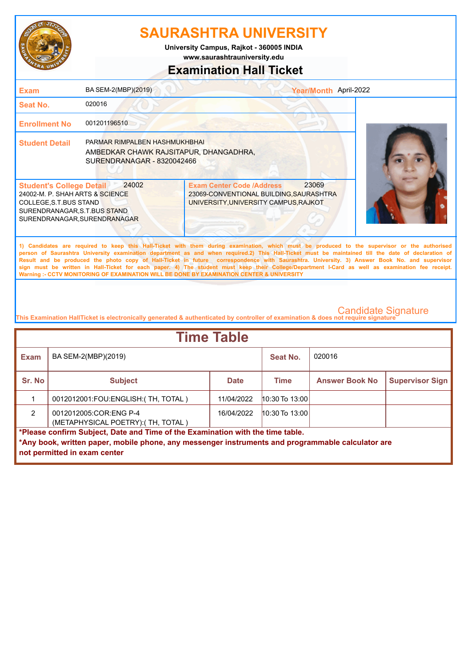

**www.saurashtrauniversity.edu University Campus, Rajkot - 360005 INDIA**

### **Examination Hall Ticket**

| <b>Exam</b>                                                                                                                                                                                                                                                                                                                                                                                                                                                                                                                                                                                                                                                                                         | BA SEM-2(MBP)(2019)                                                                                   | Year/Month April-2022                                                                                                         |  |  |
|-----------------------------------------------------------------------------------------------------------------------------------------------------------------------------------------------------------------------------------------------------------------------------------------------------------------------------------------------------------------------------------------------------------------------------------------------------------------------------------------------------------------------------------------------------------------------------------------------------------------------------------------------------------------------------------------------------|-------------------------------------------------------------------------------------------------------|-------------------------------------------------------------------------------------------------------------------------------|--|--|
| <b>Seat No.</b>                                                                                                                                                                                                                                                                                                                                                                                                                                                                                                                                                                                                                                                                                     | 020016                                                                                                |                                                                                                                               |  |  |
| <b>Enrollment No</b>                                                                                                                                                                                                                                                                                                                                                                                                                                                                                                                                                                                                                                                                                | 001201196510                                                                                          |                                                                                                                               |  |  |
| <b>Student Detail</b>                                                                                                                                                                                                                                                                                                                                                                                                                                                                                                                                                                                                                                                                               | PARMAR RIMPALBEN HASHMUKHBHAI<br>AMBEDKAR CHAWK RAJSITAPUR, DHANGADHRA,<br>SURENDRANAGAR - 8320042466 |                                                                                                                               |  |  |
| <b>Student's College Detail</b><br>24002-M. P. SHAH ARTS & SCIENCE<br>COLLEGE, S.T.BUS STAND<br>SURENDRANAGAR, S.T.BUS STAND<br>SURENDRANAGAR, SURENDRANAGAR                                                                                                                                                                                                                                                                                                                                                                                                                                                                                                                                        | 24002                                                                                                 | 23069<br><b>Exam Center Code /Address</b><br>23069-CONVENTIONAL BUILDING, SAURASHTRA<br>UNIVERSITY, UNIVERSITY CAMPUS, RAJKOT |  |  |
| 1) Candidates are required to keep this Hall-Ticket with them during examination, which must be produced to the supervisor or the authorised<br>person of Saurashtra University examination department as and when required.2) This Hall-Ticket must be maintained till the date of declaration of<br>Result and be produced the photo copy of Hall-Ticket in future correspondence with Saurashtra. University. 3) Answer Book No. and supervisor<br>sign must be written in Hall-Ticket for each paper. 4) The student must keep their College/Department I-Card as well as examination fee receipt.<br>Warning :- CCTV MONITORING OF EXAMINATION WILL BE DONE BY EXAMINATION CENTER & UNIVERSITY |                                                                                                       |                                                                                                                               |  |  |
|                                                                                                                                                                                                                                                                                                                                                                                                                                                                                                                                                                                                                                                                                                     |                                                                                                       |                                                                                                                               |  |  |

| <b>Time Table</b>                                                              |                                                                                                   |             |                    |                       |                        |  |
|--------------------------------------------------------------------------------|---------------------------------------------------------------------------------------------------|-------------|--------------------|-----------------------|------------------------|--|
| <b>Exam</b>                                                                    | BA SEM-2(MBP)(2019)                                                                               |             | Seat No.           | 020016                |                        |  |
| Sr. No                                                                         | <b>Subject</b>                                                                                    | <b>Date</b> | <b>Time</b>        | <b>Answer Book No</b> | <b>Supervisor Sign</b> |  |
|                                                                                | 0012012001:FOU:ENGLISH: (TH, TOTAL)                                                               | 11/04/2022  | $10:30$ To 13:00   |                       |                        |  |
| $\mathcal{P}$                                                                  | 0012012005:COR:ENG P-4<br>(METAPHYSICAL POETRY): (TH, TOTAL)                                      | 16/04/2022  | $10:30$ To $13:00$ |                       |                        |  |
| *Please confirm Subject, Date and Time of the Examination with the time table. |                                                                                                   |             |                    |                       |                        |  |
|                                                                                | *Any book, written paper, mobile phone, any messenger instruments and programmable calculator are |             |                    |                       |                        |  |
|                                                                                | not permitted in exam center                                                                      |             |                    |                       |                        |  |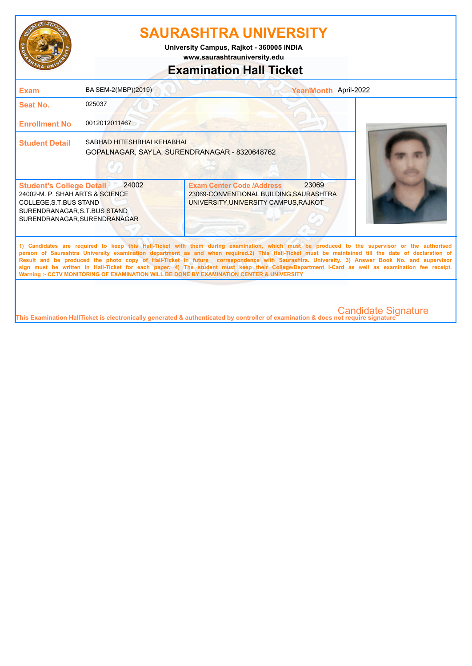

**www.saurashtrauniversity.edu University Campus, Rajkot - 360005 INDIA**

### **Examination Hall Ticket**

| <b>Exam</b>                                                                                                                                                                                                                                                                                                                                                                                                                                                                                                                                                                                                                                                                                         | BA SEM-2(MBP)(2019)                                                         |                                                                                                                                   | Year/Month April-2022      |  |  |
|-----------------------------------------------------------------------------------------------------------------------------------------------------------------------------------------------------------------------------------------------------------------------------------------------------------------------------------------------------------------------------------------------------------------------------------------------------------------------------------------------------------------------------------------------------------------------------------------------------------------------------------------------------------------------------------------------------|-----------------------------------------------------------------------------|-----------------------------------------------------------------------------------------------------------------------------------|----------------------------|--|--|
| <b>Seat No.</b>                                                                                                                                                                                                                                                                                                                                                                                                                                                                                                                                                                                                                                                                                     | 025037                                                                      |                                                                                                                                   |                            |  |  |
| <b>Enrollment No</b>                                                                                                                                                                                                                                                                                                                                                                                                                                                                                                                                                                                                                                                                                | 0012012011467                                                               |                                                                                                                                   |                            |  |  |
| <b>Student Detail</b>                                                                                                                                                                                                                                                                                                                                                                                                                                                                                                                                                                                                                                                                               | SABHAD HITESHBHAI KEHABHAI<br>GOPALNAGAR, SAYLA, SURENDRANAGAR - 8320648762 |                                                                                                                                   |                            |  |  |
| <b>Student's College Detail</b><br>24002-M. P. SHAH ARTS & SCIENCE<br>COLLEGE, S.T. BUS STAND<br>SURENDRANAGAR, S.T.BUS STAND<br>SURENDRANAGAR.SURENDRANAGAR                                                                                                                                                                                                                                                                                                                                                                                                                                                                                                                                        | 24002                                                                       | 23069<br><b>Exam Center Code /Address</b><br>23069-CONVENTIONAL BUILDING, SAURASHTRA<br>UNIVERSITY, UNIVERSITY CAMPUS, RAJKOT     |                            |  |  |
| 1) Candidates are required to keep this Hall-Ticket with them during examination, which must be produced to the supervisor or the authorised<br>person of Saurashtra University examination department as and when required.2) This Hall-Ticket must be maintained till the date of declaration of<br>Result and be produced the photo copy of Hall-Ticket in future correspondence with Saurashtra. University. 3) Answer Book No. and supervisor<br>sign must be written in Hall-Ticket for each paper. 4) The student must keep their College/Department I-Card as well as examination fee receipt.<br>Warning :- CCTV MONITORING OF EXAMINATION WILL BE DONE BY EXAMINATION CENTER & UNIVERSITY |                                                                             |                                                                                                                                   |                            |  |  |
|                                                                                                                                                                                                                                                                                                                                                                                                                                                                                                                                                                                                                                                                                                     |                                                                             | This Examination HallTicket is electronically generated & authenticated by controller of examination & does not require signature | <b>Candidate Signature</b> |  |  |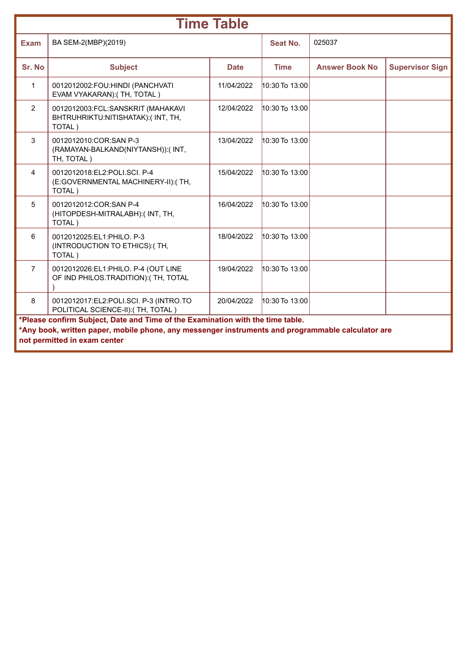| <b>Time Table</b> |                                                                                                                                                                                                                     |             |                |                       |                        |  |
|-------------------|---------------------------------------------------------------------------------------------------------------------------------------------------------------------------------------------------------------------|-------------|----------------|-----------------------|------------------------|--|
| <b>Exam</b>       | BA SEM-2(MBP)(2019)                                                                                                                                                                                                 |             | Seat No.       | 025037                |                        |  |
| Sr. No            | <b>Subject</b>                                                                                                                                                                                                      | <b>Date</b> | <b>Time</b>    | <b>Answer Book No</b> | <b>Supervisor Sign</b> |  |
| $\mathbf{1}$      | 0012012002:FOU:HINDI (PANCHVATI<br>EVAM VYAKARAN): (TH, TOTAL)                                                                                                                                                      | 11/04/2022  | 10:30 To 13:00 |                       |                        |  |
| 2                 | 0012012003:FCL:SANSKRIT (MAHAKAVI<br>BHTRUHRIKTU:NITISHATAK):(INT, TH,<br>TOTAL)                                                                                                                                    | 12/04/2022  | 10:30 To 13:00 |                       |                        |  |
| 3                 | 0012012010:COR:SAN P-3<br>(RAMAYAN-BALKAND(NIYTANSH)):(INT,<br>TH, TOTAL)                                                                                                                                           | 13/04/2022  | 10:30 To 13:00 |                       |                        |  |
| 4                 | 0012012018:EL2:POLI.SCI. P-4<br>(E:GOVERNMENTAL MACHINERY-II):(TH,<br>TOTAL)                                                                                                                                        | 15/04/2022  | 10:30 To 13:00 |                       |                        |  |
| 5                 | 0012012012: COR: SAN P-4<br>(HITOPDESH-MITRALABH):(INT, TH,<br>TOTAL)                                                                                                                                               | 16/04/2022  | 10:30 To 13:00 |                       |                        |  |
| 6                 | 0012012025:EL1:PHILO, P-3<br>(INTRODUCTION TO ETHICS): (TH,<br>TOTAL)                                                                                                                                               | 18/04/2022  | 10:30 To 13:00 |                       |                        |  |
| $\overline{7}$    | 0012012026:EL1:PHILO. P-4 (OUT LINE<br>OF IND PHILOS.TRADITION):(TH, TOTAL                                                                                                                                          | 19/04/2022  | 10:30 To 13:00 |                       |                        |  |
| 8                 | 0012012017:EL2:POLI.SCI. P-3 (INTRO.TO<br>POLITICAL SCIENCE-II):(TH, TOTAL)                                                                                                                                         | 20/04/2022  | 10:30 To 13:00 |                       |                        |  |
|                   | *Please confirm Subject, Date and Time of the Examination with the time table.<br>*Any book, written paper, mobile phone, any messenger instruments and programmable calculator are<br>not permitted in exam center |             |                |                       |                        |  |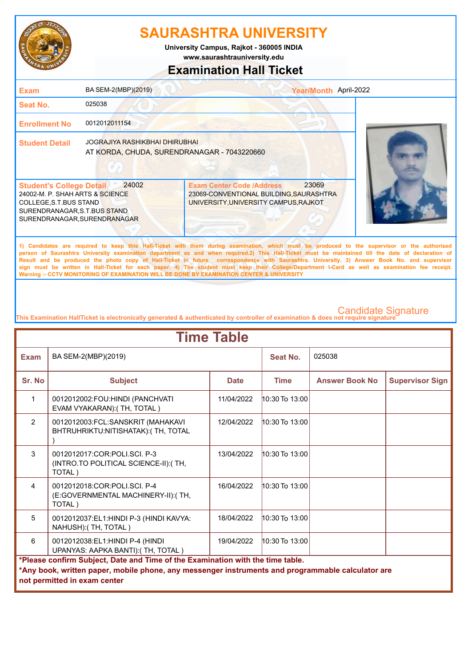

**www.saurashtrauniversity.edu University Campus, Rajkot - 360005 INDIA**

### **Examination Hall Ticket**

| <b>Exam</b>                                                                                                                                                  | BA SEM-2(MBP)(2019)                                                           |                                                                                                                                                                                                                                                                                                                                                                                                                                                                                                                                                                                                        | Year/Month April-2022 |
|--------------------------------------------------------------------------------------------------------------------------------------------------------------|-------------------------------------------------------------------------------|--------------------------------------------------------------------------------------------------------------------------------------------------------------------------------------------------------------------------------------------------------------------------------------------------------------------------------------------------------------------------------------------------------------------------------------------------------------------------------------------------------------------------------------------------------------------------------------------------------|-----------------------|
| <b>Seat No.</b>                                                                                                                                              | 025038                                                                        |                                                                                                                                                                                                                                                                                                                                                                                                                                                                                                                                                                                                        |                       |
| <b>Enrollment No</b>                                                                                                                                         | 0012012011154                                                                 |                                                                                                                                                                                                                                                                                                                                                                                                                                                                                                                                                                                                        |                       |
| <b>Student Detail</b>                                                                                                                                        | JOGRAJIYA RASHIKBHAI DHIRUBHAI<br>AT KORDA, CHUDA, SURENDRANAGAR - 7043220660 |                                                                                                                                                                                                                                                                                                                                                                                                                                                                                                                                                                                                        |                       |
| <b>Student's College Detail</b><br>24002-M. P. SHAH ARTS & SCIENCE<br>COLLEGE, S.T.BUS STAND<br>SURENDRANAGAR, S.T.BUS STAND<br>SURENDRANAGAR, SURENDRANAGAR | 24002                                                                         | 23069<br><b>Exam Center Code /Address</b><br>23069-CONVENTIONAL BUILDING, SAURASHTRA<br>UNIVERSITY, UNIVERSITY CAMPUS, RAJKOT                                                                                                                                                                                                                                                                                                                                                                                                                                                                          |                       |
|                                                                                                                                                              |                                                                               | 1) Candidates are required to keep this Hall-Ticket with them during examination, which must be produced to the supervisor or the authorised<br>person of Saurashtra University examination department as and when required.2) This Hall-Ticket must be maintained till the date of declaration of<br>Result and be produced the photo copy of Hall-Ticket in future correspondence with Saurashtra. University. 3) Answer Book No. and supervisor<br>sign must be written in Hall-Ticket for each paper. 4) The student must keep their College/Department I-Card as well as examination fee receipt. |                       |

**This Examination HallTicket is electronically generated & authenticated by controller of examination & does not require signature** 

| <b>Time Table</b>                                                                                             |                                                                                                                                                                                                                     |             |                    |                       |                        |  |
|---------------------------------------------------------------------------------------------------------------|---------------------------------------------------------------------------------------------------------------------------------------------------------------------------------------------------------------------|-------------|--------------------|-----------------------|------------------------|--|
| <b>Exam</b>                                                                                                   | BA SEM-2(MBP)(2019)                                                                                                                                                                                                 |             | Seat No.           | 025038                |                        |  |
| Sr. No                                                                                                        | <b>Subject</b>                                                                                                                                                                                                      | <b>Date</b> | <b>Time</b>        | <b>Answer Book No</b> | <b>Supervisor Sign</b> |  |
| 1                                                                                                             | 0012012002:FOU:HINDI (PANCHVATI<br>EVAM VYAKARAN): (TH, TOTAL)                                                                                                                                                      | 11/04/2022  | $10:30$ To $13:00$ |                       |                        |  |
| $\overline{2}$                                                                                                | 0012012003:FCL:SANSKRIT (MAHAKAVI<br>BHTRUHRIKTU:NITISHATAK):(TH, TOTAL                                                                                                                                             | 12/04/2022  | $10:30$ To 13:00   |                       |                        |  |
| 3                                                                                                             | 0012012017:COR:POLI.SCI. P-3<br>(INTRO.TO POLITICAL SCIENCE-II): (TH,<br>TOTAL)                                                                                                                                     | 13/04/2022  | $10:30$ To $13:00$ |                       |                        |  |
| $\overline{4}$                                                                                                | 0012012018:COR:POLI.SCI. P-4<br>(E:GOVERNMENTAL MACHINERY-II): (TH,<br>TOTAL)                                                                                                                                       | 16/04/2022  | $10:30$ To $13:00$ |                       |                        |  |
| 5                                                                                                             | 0012012037:EL1:HINDI P-3 (HINDI KAVYA:<br>NAHUSH): (TH, TOTAL)                                                                                                                                                      | 18/04/2022  | $10:30$ To $13:00$ |                       |                        |  |
| 6<br>19/04/2022<br>$10:30$ To $13:00$<br>0012012038:EL1:HINDI P-4 (HINDI<br>UPANYAS: AAPKA BANTI):(TH, TOTAL) |                                                                                                                                                                                                                     |             |                    |                       |                        |  |
|                                                                                                               | *Please confirm Subject, Date and Time of the Examination with the time table.<br>*Any book, written paper, mobile phone, any messenger instruments and programmable calculator are<br>not permitted in exam center |             |                    |                       |                        |  |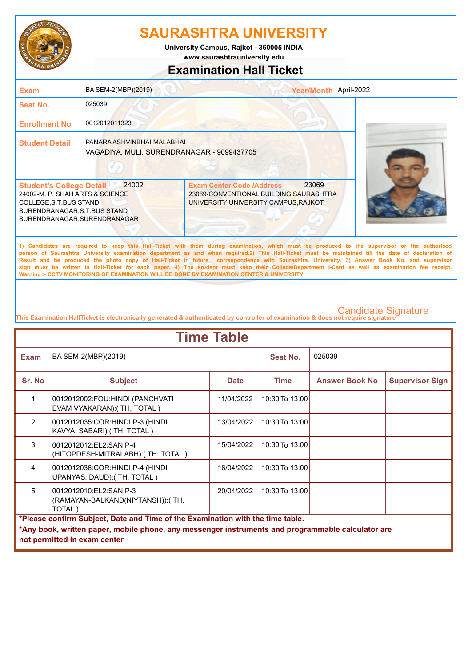

**University Campus, Rajkot - 360005 INDIA**

### **www.saurashtrauniversity.edu**

### **Examination Hall Ticket**

| <b>Exam</b>                                                                                                                                                  | BA SEM-2(MBP)(2019)                                                                                  |                                                                                                                      | Year/Month April-2022 |  |
|--------------------------------------------------------------------------------------------------------------------------------------------------------------|------------------------------------------------------------------------------------------------------|----------------------------------------------------------------------------------------------------------------------|-----------------------|--|
| Seat No.                                                                                                                                                     | 025039                                                                                               |                                                                                                                      |                       |  |
| <b>Enrollment No</b>                                                                                                                                         | 0012012011323                                                                                        |                                                                                                                      |                       |  |
| <b>Student Detail</b>                                                                                                                                        | PANARA ASHVINBHAI MALABHAI<br>VAGADIYA, MULI, SURENDRANAGAR - 9099437705                             |                                                                                                                      |                       |  |
| <b>Student's College Detail</b><br>24002-M. P. SHAH ARTS & SCIENCE<br>COLLEGE, S.T.BUS STAND<br>SURENDRANAGAR, S.T.BUS STAND<br>SURENDRANAGAR, SURENDRANAGAR | 24002                                                                                                | <b>Exam Center Code /Address</b><br>23069-CONVENTIONAL BUILDING, SAURASHTRA<br>UNIVERSITY, UNIVERSITY CAMPUS, RAJKOT | 23069                 |  |
|                                                                                                                                                              | 1990年,1990年,1990年,1990年,1990年,1990年,1990年,1990年,1990年,1990年,1990年,1990年,1990年,1990年,1990年,1990年,1990 | the contract of the contract of the contract of the contract of the contract of the contract of                      |                       |  |

**1) Candidates are required to keep this Hall-Ticket with them during examination, which must be produced to the supervisor or the authorised person of Saurashtra University examination department as and when required.2) This Hall-Ticket must be maintained till the date of declaration of Result and be produced the photo copy of Hall-Ticket in future correspondence with Saurashtra. University. 3) Answer Book No. and supervisor sign must be written in Hall-Ticket for each paper. 4) The student must keep their College/Department I-Card as well as examination fee receipt. Warning :- CCTV MONITORING OF EXAMINATION WILL BE DONE BY EXAMINATION CENTER & UNIVERSITY**

| <b>Time Table</b>                                                                                          |                                                                                                                                                                                     |             |                    |                       |                        |  |
|------------------------------------------------------------------------------------------------------------|-------------------------------------------------------------------------------------------------------------------------------------------------------------------------------------|-------------|--------------------|-----------------------|------------------------|--|
| <b>Exam</b>                                                                                                | BA SEM-2(MBP)(2019)                                                                                                                                                                 |             | Seat No.           | 025039                |                        |  |
| Sr. No                                                                                                     | <b>Subject</b>                                                                                                                                                                      | <b>Date</b> | <b>Time</b>        | <b>Answer Book No</b> | <b>Supervisor Sign</b> |  |
| 1                                                                                                          | 0012012002:FOU:HINDI (PANCHVATI<br>EVAM VYAKARAN): (TH, TOTAL)                                                                                                                      | 11/04/2022  | 10:30 To 13:00     |                       |                        |  |
| $\mathcal{P}$                                                                                              | 0012012035: COR: HINDI P-3 (HINDI<br>KAVYA: SABARI):(TH, TOTAL)                                                                                                                     | 13/04/2022  | 10:30 To 13:00     |                       |                        |  |
| $\mathcal{R}$                                                                                              | 0012012012:EL2:SAN P-4<br>(HITOPDESH-MITRALABH): (TH, TOTAL)                                                                                                                        | 15/04/2022  | $10:30$ To $13:00$ |                       |                        |  |
| 4                                                                                                          | 0012012036: COR: HINDI P-4 (HINDI<br>UPANYAS: DAUD): (TH, TOTAL)                                                                                                                    | 16/04/2022  | 10:30 To 13:00     |                       |                        |  |
| 5<br>0012012010:EL2:SAN P-3<br>10:30 To 13:00<br>20/04/2022<br>(RAMAYAN-BALKAND(NIYTANSH)): (TH,<br>TOTAL) |                                                                                                                                                                                     |             |                    |                       |                        |  |
|                                                                                                            | *Please confirm Subject, Date and Time of the Examination with the time table.<br>*Any book, written paper, mobile phone, any messenger instruments and programmable calculator are |             |                    |                       |                        |  |
|                                                                                                            | not permitted in exam center                                                                                                                                                        |             |                    |                       |                        |  |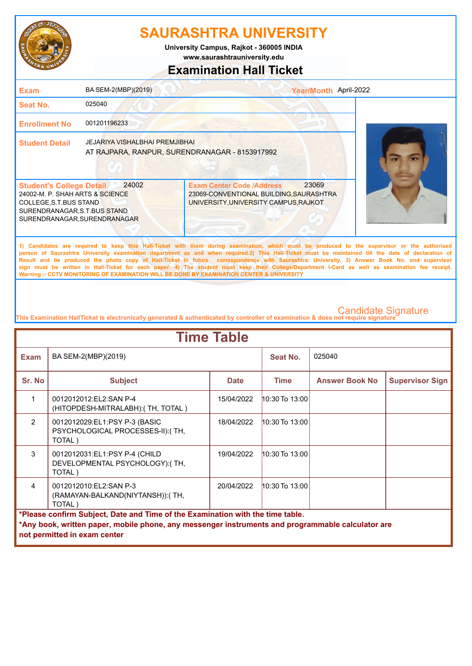

**www.saurashtrauniversity.edu University Campus, Rajkot - 360005 INDIA**

### **Examination Hall Ticket**

| <b>Exam</b>                                                                                                                                                  | BA SEM-2(MBP)(2019)                                                                     |                                                                                                                                                                                                                                                                                                                                                                                                                                                                                                                                                                                                        | Year/Month April-2022 |
|--------------------------------------------------------------------------------------------------------------------------------------------------------------|-----------------------------------------------------------------------------------------|--------------------------------------------------------------------------------------------------------------------------------------------------------------------------------------------------------------------------------------------------------------------------------------------------------------------------------------------------------------------------------------------------------------------------------------------------------------------------------------------------------------------------------------------------------------------------------------------------------|-----------------------|
| <b>Seat No.</b>                                                                                                                                              | 025040                                                                                  |                                                                                                                                                                                                                                                                                                                                                                                                                                                                                                                                                                                                        |                       |
| <b>Enrollment No</b>                                                                                                                                         | 001201196233                                                                            |                                                                                                                                                                                                                                                                                                                                                                                                                                                                                                                                                                                                        |                       |
| <b>Student Detail</b>                                                                                                                                        | <b>JEJARIYA VISHALBHAI PREMJIBHAI</b><br>AT RAJPARA, RANPUR, SURENDRANAGAR - 8153917992 |                                                                                                                                                                                                                                                                                                                                                                                                                                                                                                                                                                                                        |                       |
| <b>Student's College Detail</b><br>24002-M. P. SHAH ARTS & SCIENCE<br>COLLEGE, S.T.BUS STAND<br>SURENDRANAGAR, S.T.BUS STAND<br>SURENDRANAGAR, SURENDRANAGAR | 24002                                                                                   | 23069<br><b>Exam Center Code /Address</b><br>23069-CONVENTIONAL BUILDING, SAURASHTRA<br>UNIVERSITY, UNIVERSITY CAMPUS, RAJKOT                                                                                                                                                                                                                                                                                                                                                                                                                                                                          |                       |
|                                                                                                                                                              |                                                                                         | 1) Candidates are required to keep this Hall-Ticket with them during examination, which must be produced to the supervisor or the authorised<br>person of Saurashtra University examination department as and when required.2) This Hall-Ticket must be maintained till the date of declaration of<br>Result and be produced the photo copy of Hall-Ticket in future correspondence with Saurashtra. University. 3) Answer Book No. and supervisor<br>sign must be written in Hall-Ticket for each paper. 4) The student must keep their College/Department I-Card as well as examination fee receipt. |                       |

**This Examination HallTicket is electronically generated & authenticated by controller of examination & does not require signature** 

| <b>Time Table</b>                                                                                                                                                                   |                                                                             |             |                    |                       |                        |  |
|-------------------------------------------------------------------------------------------------------------------------------------------------------------------------------------|-----------------------------------------------------------------------------|-------------|--------------------|-----------------------|------------------------|--|
| <b>Exam</b>                                                                                                                                                                         | BA SEM-2(MBP)(2019)                                                         |             | Seat No.           | 025040                |                        |  |
| Sr. No                                                                                                                                                                              | <b>Subject</b>                                                              | <b>Date</b> | <b>Time</b>        | <b>Answer Book No</b> | <b>Supervisor Sign</b> |  |
|                                                                                                                                                                                     | 0012012012:EL2:SAN P-4<br>(HITOPDESH-MITRALABH): (TH, TOTAL)                | 15/04/2022  | 10:30 To 13:00     |                       |                        |  |
| $\mathcal{P}$                                                                                                                                                                       | 0012012029:EL1:PSY P-3 (BASIC<br>PSYCHOLOGICAL PROCESSES-II):(TH,<br>TOTAL) | 18/04/2022  | $10:30$ To 13:00   |                       |                        |  |
| $\mathcal{S}$                                                                                                                                                                       | 0012012031:EL1:PSY P-4 (CHILD<br>DEVELOPMENTAL PSYCHOLOGY):(TH,<br>TOTAL)   | 19/04/2022  | $10:30$ To $13:00$ |                       |                        |  |
| $\overline{4}$                                                                                                                                                                      | 0012012010:EL2:SAN P-3<br>(RAMAYAN-BALKAND(NIYTANSH)): (TH,<br>TOTAL)       | 20/04/2022  | 10:30 To 13:00     |                       |                        |  |
| *Please confirm Subject, Date and Time of the Examination with the time table.<br>*Any book, written paper, mobile phone, any messenger instruments and programmable calculator are |                                                                             |             |                    |                       |                        |  |
|                                                                                                                                                                                     | not permitted in exam center                                                |             |                    |                       |                        |  |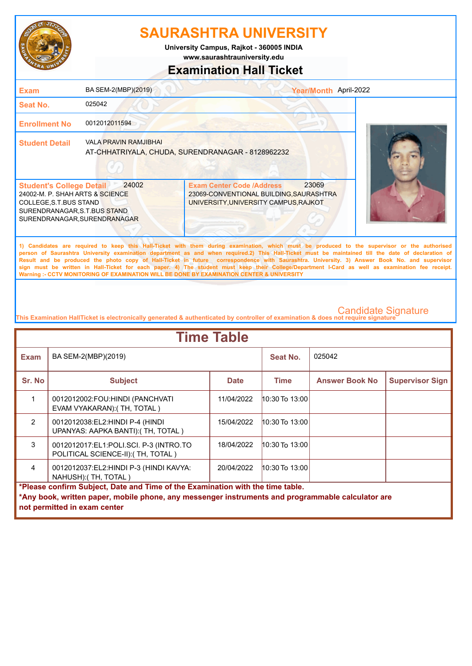

**University Campus, Rajkot - 360005 INDIA**

**www.saurashtrauniversity.edu**

### **Examination Hall Ticket**

| <b>Exam</b>                                                                                                                                                   | BA SEM-2(MBP)(2019)          |                                                                                                                                                                                                                                                                                                                                                                                                                                                                                                                                                                                                        | Year/Month April-2022 |
|---------------------------------------------------------------------------------------------------------------------------------------------------------------|------------------------------|--------------------------------------------------------------------------------------------------------------------------------------------------------------------------------------------------------------------------------------------------------------------------------------------------------------------------------------------------------------------------------------------------------------------------------------------------------------------------------------------------------------------------------------------------------------------------------------------------------|-----------------------|
| Seat No.                                                                                                                                                      | 025042                       |                                                                                                                                                                                                                                                                                                                                                                                                                                                                                                                                                                                                        |                       |
| <b>Enrollment No</b>                                                                                                                                          | 0012012011594                |                                                                                                                                                                                                                                                                                                                                                                                                                                                                                                                                                                                                        |                       |
| <b>Student Detail</b>                                                                                                                                         | <b>VALA PRAVIN RAMJIBHAI</b> | AT-CHHATRIYALA, CHUDA, SURENDRANAGAR - 8128962232                                                                                                                                                                                                                                                                                                                                                                                                                                                                                                                                                      |                       |
| <b>Student's College Detail</b><br>24002-M. P. SHAH ARTS & SCIENCE<br>COLLEGE, S.T. BUS STAND<br>SURENDRANAGAR, S.T.BUS STAND<br>SURENDRANAGAR, SURENDRANAGAR | 24002                        | 23069<br><b>Exam Center Code /Address</b><br>23069-CONVENTIONAL BUILDING, SAURASHTRA<br>UNIVERSITY, UNIVERSITY CAMPUS, RAJKOT                                                                                                                                                                                                                                                                                                                                                                                                                                                                          |                       |
|                                                                                                                                                               |                              | 1) Candidates are required to keep this Hall-Ticket with them during examination, which must be produced to the supervisor or the authorised<br>person of Saurashtra University examination department as and when required.2) This Hall-Ticket must be maintained till the date of declaration of<br>Result and be produced the photo copy of Hall-Ticket in future correspondence with Saurashtra. University. 3) Answer Book No. and supervisor<br>sign must be written in Hall-Ticket for each paper. 4) The student must keep their College/Department I-Card as well as examination fee receipt. |                       |

**This Examination HallTicket is electronically generated & authenticated by controller of examination & does not require signature** 

| <b>Time Table</b> |                                                                                                    |             |                    |                       |                        |  |
|-------------------|----------------------------------------------------------------------------------------------------|-------------|--------------------|-----------------------|------------------------|--|
| <b>Exam</b>       | BA SEM-2(MBP)(2019)                                                                                |             | Seat No.           | 025042                |                        |  |
| Sr. No            | <b>Subject</b>                                                                                     | <b>Date</b> | Time               | <b>Answer Book No</b> | <b>Supervisor Sign</b> |  |
|                   | 0012012002:FOU:HINDI (PANCHVATI<br>EVAM VYAKARAN): (TH, TOTAL)                                     | 11/04/2022  | 10:30 To 13:00     |                       |                        |  |
| $\mathcal{P}$     | 0012012038:EL2:HINDI P-4 (HINDI<br>UPANYAS: AAPKA BANTI): (TH, TOTAL)                              | 15/04/2022  | $10:30$ To $13:00$ |                       |                        |  |
| 3                 | 0012012017:EL1:POLI.SCI. P-3 (INTRO.TO<br>POLITICAL SCIENCE-II): (TH, TOTAL)                       | 18/04/2022  | $10:30$ To $13:00$ |                       |                        |  |
| $\overline{4}$    | $10:30$ To $13:00$<br>0012012037:EL2:HINDI P-3 (HINDI KAVYA:<br>20/04/2022<br>NAHUSH): (TH, TOTAL) |             |                    |                       |                        |  |
|                   | *Please confirm Subject, Date and Time of the Examination with the time table.                     |             |                    |                       |                        |  |
|                   | *Any book, written paper, mobile phone, any messenger instruments and programmable calculator are  |             |                    |                       |                        |  |
|                   | not permitted in exam center                                                                       |             |                    |                       |                        |  |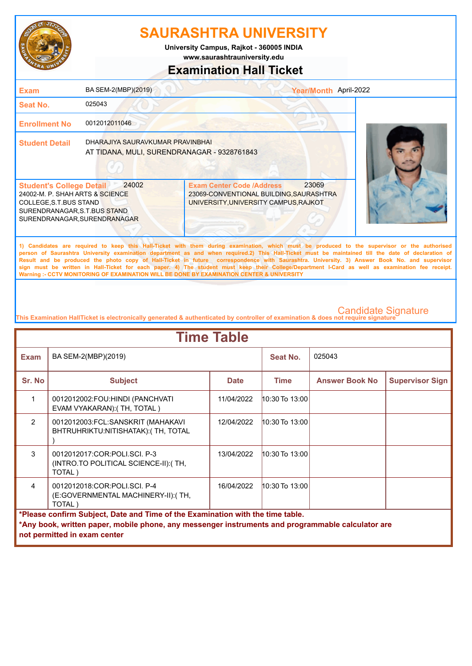

**www.saurashtrauniversity.edu University Campus, Rajkot - 360005 INDIA**

## **Examination Hall Ticket**

| <b>Exam</b>                                                                                                                                                  | BA SEM-2(MBP)(2019)                                                             |                                                                                                                      | Year/Month April-2022 |                                                                                                                                                                                                                                                                                                                                                                                                                                                    |
|--------------------------------------------------------------------------------------------------------------------------------------------------------------|---------------------------------------------------------------------------------|----------------------------------------------------------------------------------------------------------------------|-----------------------|----------------------------------------------------------------------------------------------------------------------------------------------------------------------------------------------------------------------------------------------------------------------------------------------------------------------------------------------------------------------------------------------------------------------------------------------------|
| Seat No.                                                                                                                                                     | 025043                                                                          |                                                                                                                      |                       |                                                                                                                                                                                                                                                                                                                                                                                                                                                    |
| <b>Enrollment No</b>                                                                                                                                         | 0012012011046                                                                   |                                                                                                                      |                       |                                                                                                                                                                                                                                                                                                                                                                                                                                                    |
| <b>Student Detail</b>                                                                                                                                        | DHARAJIYA SAURAVKUMAR PRAVINBHAI<br>AT TIDANA, MULI, SURENDRANAGAR - 9328761843 |                                                                                                                      |                       |                                                                                                                                                                                                                                                                                                                                                                                                                                                    |
| <b>Student's College Detail</b><br>24002-M. P. SHAH ARTS & SCIENCE<br>COLLEGE, S.T.BUS STAND<br>SURENDRANAGAR, S.T.BUS STAND<br>SURENDRANAGAR, SURENDRANAGAR | 24002                                                                           | <b>Exam Center Code /Address</b><br>23069-CONVENTIONAL BUILDING, SAURASHTRA<br>UNIVERSITY, UNIVERSITY CAMPUS, RAJKOT | 23069                 |                                                                                                                                                                                                                                                                                                                                                                                                                                                    |
|                                                                                                                                                              |                                                                                 |                                                                                                                      |                       | 1) Candidates are required to keep this Hall-Ticket with them during examination, which must be produced to the supervisor or the authorised<br>person of Saurashtra University examination department as and when required.2) This Hall-Ticket must be maintained till the date of declaration of<br>Result and be produced the photo copy of Hall-Ticket in future correspondence with Saurashtra. University, 3) Answer Book No. and supervisor |

**Result and be produced the photo copy of Hall-Ticket in future correspondence with Saurashtra. University. 3) Answer Book No. and supervisor sign must be written in Hall-Ticket for each paper. 4) The student must keep their College/Department I-Card as well as examination fee receipt. Warning :- CCTV MONITORING OF EXAMINATION WILL BE DONE BY EXAMINATION CENTER & UNIVERSITY**

| <b>Time Table</b> |                                                                                                                                                                                     |             |                    |                       |                        |  |
|-------------------|-------------------------------------------------------------------------------------------------------------------------------------------------------------------------------------|-------------|--------------------|-----------------------|------------------------|--|
| <b>Exam</b>       | BA SEM-2(MBP)(2019)                                                                                                                                                                 |             | Seat No.           | 025043                |                        |  |
| Sr. No            | <b>Subject</b>                                                                                                                                                                      | <b>Date</b> | <b>Time</b>        | <b>Answer Book No</b> | <b>Supervisor Sign</b> |  |
|                   | 0012012002:FOU:HINDI (PANCHVATI<br>EVAM VYAKARAN): (TH, TOTAL)                                                                                                                      | 11/04/2022  | $10:30$ To $13:00$ |                       |                        |  |
| $\overline{2}$    | 0012012003:FCL:SANSKRIT (MAHAKAVI<br>BHTRUHRIKTU:NITISHATAK): (TH, TOTAL                                                                                                            | 12/04/2022  | 10:30 To 13:00     |                       |                        |  |
| 3                 | 0012012017:COR:POLI.SCI. P-3<br>(INTRO.TO POLITICAL SCIENCE-II): (TH,<br>TOTAL)                                                                                                     | 13/04/2022  | 10:30 To 13:00     |                       |                        |  |
| 4                 | 0012012018:COR:POLI.SCI. P-4<br>(E:GOVERNMENTAL MACHINERY-II): (TH,<br>TOTAL)                                                                                                       | 16/04/2022  | 10:30 To 13:00     |                       |                        |  |
|                   | *Please confirm Subject, Date and Time of the Examination with the time table.<br>*Any book, written paper, mobile phone, any messenger instruments and programmable calculator are |             |                    |                       |                        |  |
|                   | not permitted in exam center                                                                                                                                                        |             |                    |                       |                        |  |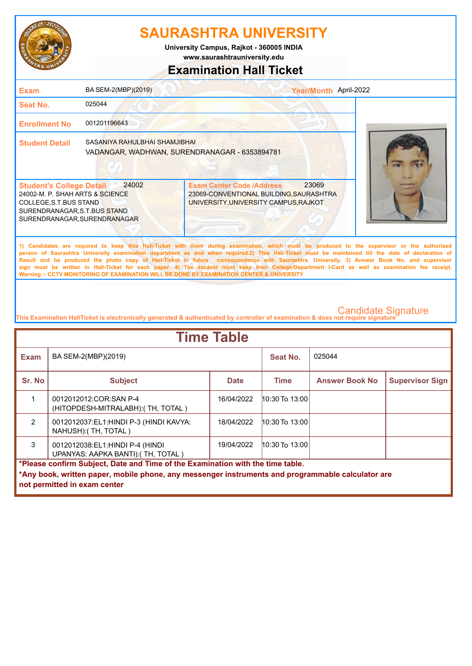

**University Campus, Rajkot - 360005 INDIA**

**www.saurashtrauniversity.edu**

### **Examination Hall Ticket**

| <b>Exam</b>                                                                                                                                                  | BA SEM-2(MBP)(2019)                                                            |                                                                                                                      | Year/Month April-2022                                                                                                                                                                                                                                                                                                                                                                                                                                                                                                                                                                                  |
|--------------------------------------------------------------------------------------------------------------------------------------------------------------|--------------------------------------------------------------------------------|----------------------------------------------------------------------------------------------------------------------|--------------------------------------------------------------------------------------------------------------------------------------------------------------------------------------------------------------------------------------------------------------------------------------------------------------------------------------------------------------------------------------------------------------------------------------------------------------------------------------------------------------------------------------------------------------------------------------------------------|
| <b>Seat No.</b>                                                                                                                                              | 025044                                                                         |                                                                                                                      |                                                                                                                                                                                                                                                                                                                                                                                                                                                                                                                                                                                                        |
| <b>Enrollment No</b>                                                                                                                                         | 001201196643                                                                   |                                                                                                                      |                                                                                                                                                                                                                                                                                                                                                                                                                                                                                                                                                                                                        |
| <b>Student Detail</b>                                                                                                                                        | SASANIYA RAHULBHAI SHAMJIBHAI<br>VADANGAR, WADHWAN, SURENDRANAGAR - 6353894781 |                                                                                                                      |                                                                                                                                                                                                                                                                                                                                                                                                                                                                                                                                                                                                        |
| <b>Student's College Detail</b><br>24002-M. P. SHAH ARTS & SCIENCE<br>COLLEGE, S.T.BUS STAND<br>SURENDRANAGAR, S.T.BUS STAND<br>SURENDRANAGAR, SURENDRANAGAR | 24002                                                                          | <b>Exam Center Code /Address</b><br>23069-CONVENTIONAL BUILDING, SAURASHTRA<br>UNIVERSITY, UNIVERSITY CAMPUS, RAJKOT | 23069                                                                                                                                                                                                                                                                                                                                                                                                                                                                                                                                                                                                  |
|                                                                                                                                                              |                                                                                | Warning :- CCTV MONITORING OF EXAMINATION WILL BE DONE BY EXAMINATION CENTER & UNIVERSITY                            | 1) Candidates are required to keep this Hall-Ticket with them during examination, which must be produced to the supervisor or the authorised<br>person of Saurashtra University examination department as and when required.2) This Hall-Ticket must be maintained till the date of declaration of<br>Result and be produced the photo copy of Hall-Ticket in future correspondence with Saurashtra. University. 3) Answer Book No. and supervisor<br>sign must be written in Hall-Ticket for each paper. 4) The student must keep their College/Department I-Card as well as examination fee receipt. |

| <b>Time Table</b>                                                                                 |                                                                       |             |                    |                       |                        |  |
|---------------------------------------------------------------------------------------------------|-----------------------------------------------------------------------|-------------|--------------------|-----------------------|------------------------|--|
| <b>Exam</b>                                                                                       | BA SEM-2(MBP)(2019)                                                   |             | Seat No.           | 025044                |                        |  |
| Sr. No                                                                                            | <b>Subject</b>                                                        | <b>Date</b> | <b>Time</b>        | <b>Answer Book No</b> | <b>Supervisor Sign</b> |  |
|                                                                                                   | 0012012012: COR: SAN P-4<br>(HITOPDESH-MITRALABH): (TH, TOTAL)        | 16/04/2022  | $10:30$ To $13:00$ |                       |                        |  |
| $\mathfrak{p}$                                                                                    | 0012012037:EL1:HINDI P-3 (HINDI KAVYA:<br>NAHUSH): (TH, TOTAL)        | 18/04/2022  | $10:30$ To $13:00$ |                       |                        |  |
| 3                                                                                                 | 0012012038:EL1:HINDI P-4 (HINDI<br>UPANYAS: AAPKA BANTI): (TH, TOTAL) | 19/04/2022  | $10:30$ To $13:00$ |                       |                        |  |
| *Please confirm Subject, Date and Time of the Examination with the time table.                    |                                                                       |             |                    |                       |                        |  |
| *Any book, written paper, mobile phone, any messenger instruments and programmable calculator are |                                                                       |             |                    |                       |                        |  |
|                                                                                                   | not permitted in exam center                                          |             |                    |                       |                        |  |
|                                                                                                   |                                                                       |             |                    |                       |                        |  |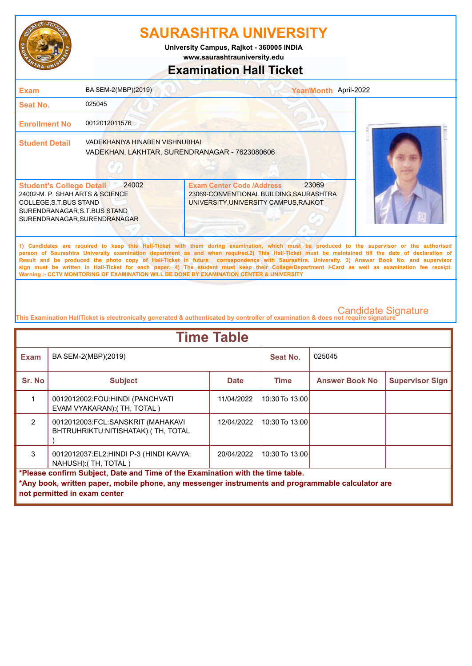

**University Campus, Rajkot - 360005 INDIA**

**www.saurashtrauniversity.edu**

### **Examination Hall Ticket**

| <b>Exam</b>                                                                                                                                                  | BA SEM-2(MBP)(2019)                                                             |                                                                                                                      | Year/Month April-2022                                                                                                                                                                                                                                                                                                                                                                                                                            |
|--------------------------------------------------------------------------------------------------------------------------------------------------------------|---------------------------------------------------------------------------------|----------------------------------------------------------------------------------------------------------------------|--------------------------------------------------------------------------------------------------------------------------------------------------------------------------------------------------------------------------------------------------------------------------------------------------------------------------------------------------------------------------------------------------------------------------------------------------|
| <b>Seat No.</b>                                                                                                                                              | 025045                                                                          |                                                                                                                      |                                                                                                                                                                                                                                                                                                                                                                                                                                                  |
| <b>Enrollment No</b>                                                                                                                                         | 0012012011576                                                                   |                                                                                                                      |                                                                                                                                                                                                                                                                                                                                                                                                                                                  |
| <b>Student Detail</b>                                                                                                                                        | VADEKHANIYA HINABEN VISHNUBHAI<br>VADEKHAN, LAKHTAR, SURENDRANAGAR - 7623080606 |                                                                                                                      |                                                                                                                                                                                                                                                                                                                                                                                                                                                  |
| <b>Student's College Detail</b><br>24002-M. P. SHAH ARTS & SCIENCE<br>COLLEGE, S.T.BUS STAND<br>SURENDRANAGAR, S.T.BUS STAND<br>SURENDRANAGAR, SURENDRANAGAR | 24002                                                                           | <b>Exam Center Code /Address</b><br>23069-CONVENTIONAL BUILDING, SAURASHTRA<br>UNIVERSITY, UNIVERSITY CAMPUS, RAJKOT | 23069                                                                                                                                                                                                                                                                                                                                                                                                                                            |
|                                                                                                                                                              |                                                                                 |                                                                                                                      | 1) Candidates are required to keep this Hall-Ticket with them during examination, which must be produced to the supervisor or the authorised<br>person of Saurashtra University examination department as and when required.2) This Hall-Ticket must be maintained till the date of declaration of<br>Result and he produced the photo copy of Hall-Ticket in future correspondence with Saurashtra University 3) Answer Rook No. and supervisor |

**Result and be produced the photo copy of Hall-Ticket in future correspondence with Saurashtra. University. 3) Answer Book No. and supervisor sign must be written in Hall-Ticket for each paper. 4) The student must keep their College/Department I-Card as well as examination fee receipt. Warning :- CCTV MONITORING OF EXAMINATION WILL BE DONE BY EXAMINATION CENTER & UNIVERSITY**

| <b>Time Table</b>                                                                                                                                                                                                   |                                                                          |             |                    |                       |                        |
|---------------------------------------------------------------------------------------------------------------------------------------------------------------------------------------------------------------------|--------------------------------------------------------------------------|-------------|--------------------|-----------------------|------------------------|
| <b>Exam</b>                                                                                                                                                                                                         | BA SEM-2(MBP)(2019)                                                      |             | Seat No.           | 025045                |                        |
| Sr. No                                                                                                                                                                                                              | <b>Subject</b>                                                           | <b>Date</b> | <b>Time</b>        | <b>Answer Book No</b> | <b>Supervisor Sign</b> |
|                                                                                                                                                                                                                     | 0012012002:FOU:HINDI (PANCHVATI<br>EVAM VYAKARAN): (TH, TOTAL)           | 11/04/2022  | $10:30$ To $13:00$ |                       |                        |
| 2                                                                                                                                                                                                                   | 0012012003:FCL:SANSKRIT (MAHAKAVI<br>BHTRUHRIKTU:NITISHATAK): (TH, TOTAL | 12/04/2022  | $10:30$ To $13:00$ |                       |                        |
| 3                                                                                                                                                                                                                   | 0012012037:EL2:HINDI P-3 (HINDI KAVYA:<br>NAHUSH): (TH, TOTAL)           | 20/04/2022  | $10:30$ To $13:00$ |                       |                        |
| *Please confirm Subject, Date and Time of the Examination with the time table.<br>*Any book, written paper, mobile phone, any messenger instruments and programmable calculator are<br>not permitted in exam center |                                                                          |             |                    |                       |                        |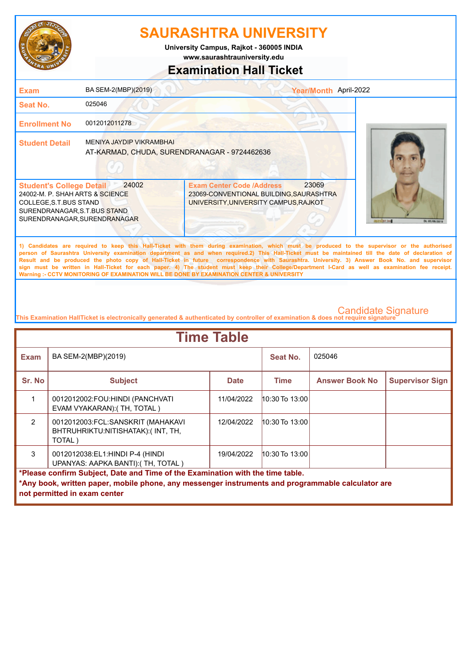

**www.saurashtrauniversity.edu University Campus, Rajkot - 360005 INDIA**

# **Examination Hall Ticket**

| <b>Exam</b>                                                                                                                                                  | BA SEM-2(MBP)(2019)                                                      |                                                                                                                      | Year/Month April-2022                                                                                                                                                                                                                                                                                                                                                                                                                                                                                                                                                                                  |            |
|--------------------------------------------------------------------------------------------------------------------------------------------------------------|--------------------------------------------------------------------------|----------------------------------------------------------------------------------------------------------------------|--------------------------------------------------------------------------------------------------------------------------------------------------------------------------------------------------------------------------------------------------------------------------------------------------------------------------------------------------------------------------------------------------------------------------------------------------------------------------------------------------------------------------------------------------------------------------------------------------------|------------|
| Seat No.                                                                                                                                                     | 025046                                                                   |                                                                                                                      |                                                                                                                                                                                                                                                                                                                                                                                                                                                                                                                                                                                                        |            |
| <b>Enrollment No</b>                                                                                                                                         | 0012012011278                                                            |                                                                                                                      |                                                                                                                                                                                                                                                                                                                                                                                                                                                                                                                                                                                                        |            |
| <b>Student Detail</b>                                                                                                                                        | MENIYA JAYDIP VIKRAMBHAI<br>AT-KARMAD, CHUDA, SURENDRANAGAR - 9724462636 |                                                                                                                      |                                                                                                                                                                                                                                                                                                                                                                                                                                                                                                                                                                                                        |            |
| <b>Student's College Detail</b><br>24002-M. P. SHAH ARTS & SCIENCE<br>COLLEGE, S.T.BUS STAND<br>SURENDRANAGAR, S.T.BUS STAND<br>SURENDRANAGAR, SURENDRANAGAR | 24002                                                                    | <b>Exam Center Code /Address</b><br>23069-CONVENTIONAL BUILDING, SAURASHTRA<br>UNIVERSITY, UNIVERSITY CAMPUS, RAJKOT | 23069<br><b>STORIES INC.</b>                                                                                                                                                                                                                                                                                                                                                                                                                                                                                                                                                                           | DK. 05.106 |
|                                                                                                                                                              |                                                                          | Warning :- CCTV MONITORING OF EXAMINATION WILL BE DONE BY EXAMINATION CENTER & UNIVERSITY                            | 1) Candidates are required to keep this Hall-Ticket with them during examination, which must be produced to the supervisor or the authorised<br>person of Saurashtra University examination department as and when required.2) This Hall-Ticket must be maintained till the date of declaration of<br>Result and be produced the photo copy of Hall-Ticket in future correspondence with Saurashtra. University. 3) Answer Book No. and supervisor<br>sign must be written in Hall-Ticket for each paper. 4) The student must keep their College/Department I-Card as well as examination fee receipt. |            |

| <b>Time Table</b>                                                                                                                                                                                                   |                                                                                  |             |                    |                       |                        |
|---------------------------------------------------------------------------------------------------------------------------------------------------------------------------------------------------------------------|----------------------------------------------------------------------------------|-------------|--------------------|-----------------------|------------------------|
| <b>Exam</b>                                                                                                                                                                                                         | BA SEM-2(MBP)(2019)                                                              |             | Seat No.           | 025046                |                        |
| Sr. No                                                                                                                                                                                                              | <b>Subject</b>                                                                   | <b>Date</b> | <b>Time</b>        | <b>Answer Book No</b> | <b>Supervisor Sign</b> |
|                                                                                                                                                                                                                     | 0012012002:FOU:HINDI (PANCHVATI<br>EVAM VYAKARAN): (TH, TOTAL)                   | 11/04/2022  | $10:30$ To $13:00$ |                       |                        |
| $\mathcal{P}$                                                                                                                                                                                                       | 0012012003:FCL:SANSKRIT (MAHAKAVI<br>BHTRUHRIKTU:NITISHATAK):(INT, TH,<br>TOTAL) | 12/04/2022  | $10:30$ To $13:00$ |                       |                        |
| 3                                                                                                                                                                                                                   | 0012012038:EL1:HINDI P-4 (HINDI<br>UPANYAS: AAPKA BANTI): (TH, TOTAL)            | 19/04/2022  | 10:30 To 13:00     |                       |                        |
| *Please confirm Subject, Date and Time of the Examination with the time table.<br>*Any book, written paper, mobile phone, any messenger instruments and programmable calculator are<br>not permitted in exam center |                                                                                  |             |                    |                       |                        |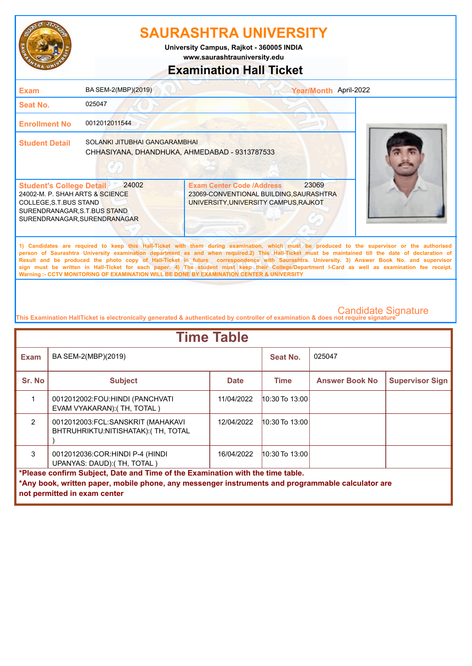

**www.saurashtrauniversity.edu University Campus, Rajkot - 360005 INDIA**

# **Examination Hall Ticket**

| <b>Exam</b>                                                                                                                                                  | BA SEM-2(MBP)(2019)                                                            |                                                                                                                                                                                                                                                                                                                                                                                                                                                                                                                                                                                                                                                                                                     | Year/Month April-2022 |
|--------------------------------------------------------------------------------------------------------------------------------------------------------------|--------------------------------------------------------------------------------|-----------------------------------------------------------------------------------------------------------------------------------------------------------------------------------------------------------------------------------------------------------------------------------------------------------------------------------------------------------------------------------------------------------------------------------------------------------------------------------------------------------------------------------------------------------------------------------------------------------------------------------------------------------------------------------------------------|-----------------------|
| Seat No.                                                                                                                                                     | 025047                                                                         |                                                                                                                                                                                                                                                                                                                                                                                                                                                                                                                                                                                                                                                                                                     |                       |
| <b>Enrollment No</b>                                                                                                                                         | 0012012011544                                                                  |                                                                                                                                                                                                                                                                                                                                                                                                                                                                                                                                                                                                                                                                                                     |                       |
| <b>Student Detail</b>                                                                                                                                        | SOLANKI JITUBHAI GANGARAMBHAI<br>CHHASIYANA, DHANDHUKA, AHMEDABAD - 9313787533 |                                                                                                                                                                                                                                                                                                                                                                                                                                                                                                                                                                                                                                                                                                     |                       |
| <b>Student's College Detail</b><br>24002-M. P. SHAH ARTS & SCIENCE<br>COLLEGE, S.T.BUS STAND<br>SURENDRANAGAR, S.T.BUS STAND<br>SURENDRANAGAR, SURENDRANAGAR | 24002                                                                          | 23069<br><b>Exam Center Code /Address</b><br>23069-CONVENTIONAL BUILDING, SAURASHTRA<br>UNIVERSITY, UNIVERSITY CAMPUS, RAJKOT                                                                                                                                                                                                                                                                                                                                                                                                                                                                                                                                                                       |                       |
|                                                                                                                                                              |                                                                                | 1) Candidates are required to keep this Hall-Ticket with them during examination, which must be produced to the supervisor or the authorised<br>person of Saurashtra University examination department as and when required.2) This Hall-Ticket must be maintained till the date of declaration of<br>Result and be produced the photo copy of Hall-Ticket in future correspondence with Saurashtra. University. 3) Answer Book No. and supervisor<br>sign must be written in Hall-Ticket for each paper. 4) The student must keep their College/Department I-Card as well as examination fee receipt.<br>Warning :- CCTV MONITORING OF EXAMINATION WILL BE DONE BY EXAMINATION CENTER & UNIVERSITY |                       |

| <b>Time Table</b>                                                                                                                                                                                                   |                                                                         |             |                    |                       |                        |
|---------------------------------------------------------------------------------------------------------------------------------------------------------------------------------------------------------------------|-------------------------------------------------------------------------|-------------|--------------------|-----------------------|------------------------|
| <b>Exam</b>                                                                                                                                                                                                         | BA SEM-2(MBP)(2019)                                                     |             | Seat No.           | 025047                |                        |
| Sr. No                                                                                                                                                                                                              | <b>Subject</b>                                                          | <b>Date</b> | <b>Time</b>        | <b>Answer Book No</b> | <b>Supervisor Sign</b> |
|                                                                                                                                                                                                                     | 0012012002:FOU:HINDI (PANCHVATI<br>EVAM VYAKARAN): (TH, TOTAL)          | 11/04/2022  | $10:30$ To $13:00$ |                       |                        |
| $\mathfrak{p}$                                                                                                                                                                                                      | 0012012003:FCL:SANSKRIT (MAHAKAVI<br>BHTRUHRIKTU:NITISHATAK):(TH, TOTAL | 12/04/2022  | $10:30$ To $13:00$ |                       |                        |
| 3                                                                                                                                                                                                                   | 0012012036:COR:HINDI P-4 (HINDI<br>UPANYAS: DAUD):(TH, TOTAL)           | 16/04/2022  | $10:30$ To $13:00$ |                       |                        |
| *Please confirm Subject, Date and Time of the Examination with the time table.<br>*Any book, written paper, mobile phone, any messenger instruments and programmable calculator are<br>not permitted in exam center |                                                                         |             |                    |                       |                        |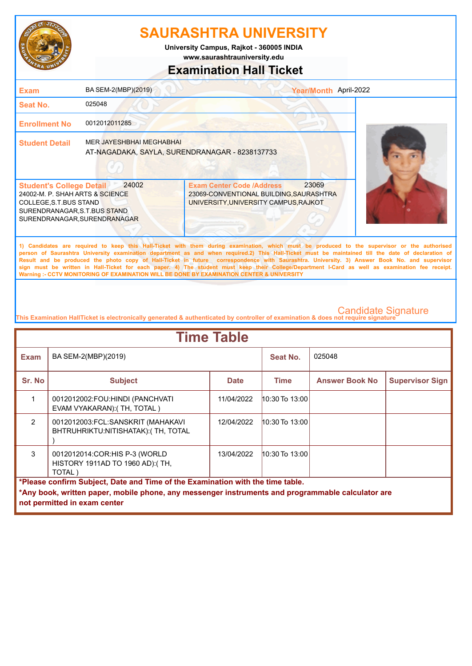

**www.saurashtrauniversity.edu University Campus, Rajkot - 360005 INDIA**

### **Examination Hall Ticket**

| <b>Exam</b>                                                                                                                                                  | BA SEM-2(MBP)(2019)                                                               | Year/Month April-2022                                                                                                                                                                                                                                                                                                                                                                                                                                                                                                                                                                                                                                                                               |  |
|--------------------------------------------------------------------------------------------------------------------------------------------------------------|-----------------------------------------------------------------------------------|-----------------------------------------------------------------------------------------------------------------------------------------------------------------------------------------------------------------------------------------------------------------------------------------------------------------------------------------------------------------------------------------------------------------------------------------------------------------------------------------------------------------------------------------------------------------------------------------------------------------------------------------------------------------------------------------------------|--|
| Seat No.                                                                                                                                                     | 025048                                                                            |                                                                                                                                                                                                                                                                                                                                                                                                                                                                                                                                                                                                                                                                                                     |  |
| <b>Enrollment No</b>                                                                                                                                         | 0012012011285                                                                     |                                                                                                                                                                                                                                                                                                                                                                                                                                                                                                                                                                                                                                                                                                     |  |
| <b>Student Detail</b>                                                                                                                                        | <b>MER JAYESHBHAI MEGHABHAI</b><br>AT-NAGADAKA, SAYLA, SURENDRANAGAR - 8238137733 |                                                                                                                                                                                                                                                                                                                                                                                                                                                                                                                                                                                                                                                                                                     |  |
| <b>Student's College Detail</b><br>24002-M. P. SHAH ARTS & SCIENCE<br>COLLEGE, S.T.BUS STAND<br>SURENDRANAGAR, S.T.BUS STAND<br>SURENDRANAGAR, SURENDRANAGAR | 24002                                                                             | 23069<br><b>Exam Center Code /Address</b><br>23069-CONVENTIONAL BUILDING, SAURASHTRA<br>UNIVERSITY, UNIVERSITY CAMPUS, RAJKOT                                                                                                                                                                                                                                                                                                                                                                                                                                                                                                                                                                       |  |
|                                                                                                                                                              |                                                                                   | 1) Candidates are required to keep this Hall-Ticket with them during examination, which must be produced to the supervisor or the authorised<br>person of Saurashtra University examination department as and when required.2) This Hall-Ticket must be maintained till the date of declaration of<br>Result and be produced the photo copy of Hall-Ticket in future correspondence with Saurashtra. University. 3) Answer Book No. and supervisor<br>sign must be written in Hall-Ticket for each paper. 4) The student must keep their College/Department I-Card as well as examination fee receipt.<br>Warning :- CCTV MONITORING OF EXAMINATION WILL BE DONE BY EXAMINATION CENTER & UNIVERSITY |  |

| <b>Time Table</b>                                                                                                                                                                                                   |                                                                             |             |                    |                       |                        |  |
|---------------------------------------------------------------------------------------------------------------------------------------------------------------------------------------------------------------------|-----------------------------------------------------------------------------|-------------|--------------------|-----------------------|------------------------|--|
| <b>Exam</b>                                                                                                                                                                                                         | BA SEM-2(MBP)(2019)                                                         |             | Seat No.           | 025048                |                        |  |
| Sr. No                                                                                                                                                                                                              | <b>Subject</b>                                                              | <b>Date</b> | <b>Time</b>        | <b>Answer Book No</b> | <b>Supervisor Sign</b> |  |
|                                                                                                                                                                                                                     | 0012012002:FOU:HINDI (PANCHVATI<br>EVAM VYAKARAN): (TH, TOTAL)              | 11/04/2022  | $10:30$ To $13:00$ |                       |                        |  |
| $\mathfrak{p}$                                                                                                                                                                                                      | 0012012003:FCL:SANSKRIT (MAHAKAVI<br>BHTRUHRIKTU:NITISHATAK):(TH, TOTAL     | 12/04/2022  | 10:30 To 13:00     |                       |                        |  |
| 3                                                                                                                                                                                                                   | 0012012014:COR:HIS P-3 (WORLD<br>HISTORY 1911AD TO 1960 AD): (TH,<br>TOTAL) | 13/04/2022  | 10:30 To 13:00     |                       |                        |  |
| *Please confirm Subject, Date and Time of the Examination with the time table.<br>*Any book, written paper, mobile phone, any messenger instruments and programmable calculator are<br>not permitted in exam center |                                                                             |             |                    |                       |                        |  |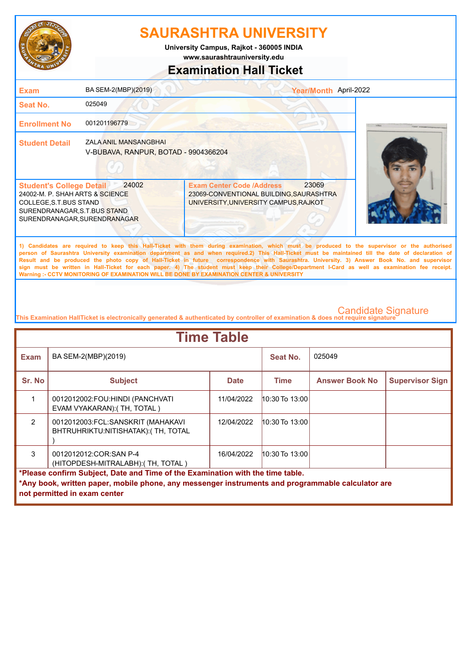

**University Campus, Rajkot - 360005 INDIA**

**www.saurashtrauniversity.edu**

### **Examination Hall Ticket**

| <b>Exam</b>                                                                                                                                                  | BA SEM-2(MBP)(2019)                                                  | Year/Month April-2022                                                                                                                                                                                                                                                                                                                                                                                                                              |  |
|--------------------------------------------------------------------------------------------------------------------------------------------------------------|----------------------------------------------------------------------|----------------------------------------------------------------------------------------------------------------------------------------------------------------------------------------------------------------------------------------------------------------------------------------------------------------------------------------------------------------------------------------------------------------------------------------------------|--|
| Seat No.                                                                                                                                                     | 025049                                                               |                                                                                                                                                                                                                                                                                                                                                                                                                                                    |  |
| <b>Enrollment No</b>                                                                                                                                         | 001201196779                                                         |                                                                                                                                                                                                                                                                                                                                                                                                                                                    |  |
| <b>Student Detail</b>                                                                                                                                        | <b>ZALA ANIL MANSANGBHAI</b><br>V-BUBAVA, RANPUR, BOTAD - 9904366204 |                                                                                                                                                                                                                                                                                                                                                                                                                                                    |  |
| <b>Student's College Detail</b><br>24002-M. P. SHAH ARTS & SCIENCE<br>COLLEGE, S.T.BUS STAND<br>SURENDRANAGAR, S.T.BUS STAND<br>SURENDRANAGAR, SURENDRANAGAR | 24002                                                                | <b>Exam Center Code /Address</b><br>23069<br>23069-CONVENTIONAL BUILDING, SAURASHTRA<br>UNIVERSITY, UNIVERSITY CAMPUS, RAJKOT                                                                                                                                                                                                                                                                                                                      |  |
|                                                                                                                                                              |                                                                      | 1) Candidates are required to keep this Hall-Ticket with them during examination, which must be produced to the supervisor or the authorised<br>person of Saurashtra University examination department as and when required.2) This Hall-Ticket must be maintained till the date of declaration of<br>Result and be produced the photo copy of Hall-Ticket in future correspondence with Saurashtra. University. 3) Answer Book No. and supervisor |  |

**Result and be produced the photo copy of Hall-Ticket in future correspondence with Saurashtra. University. 3) Answer Book No. and supervisor sign must be written in Hall-Ticket for each paper. 4) The student must keep their College/Department I-Card as well as examination fee receipt. Warning :- CCTV MONITORING OF EXAMINATION WILL BE DONE BY EXAMINATION CENTER & UNIVERSITY**

| <b>Time Table</b>                                                                                                                                                                   |                                                                                              |             |                    |                       |                        |  |
|-------------------------------------------------------------------------------------------------------------------------------------------------------------------------------------|----------------------------------------------------------------------------------------------|-------------|--------------------|-----------------------|------------------------|--|
| <b>Exam</b>                                                                                                                                                                         | BA SEM-2(MBP)(2019)                                                                          |             | Seat No.           | 025049                |                        |  |
| Sr. No                                                                                                                                                                              | <b>Subject</b>                                                                               | <b>Date</b> | Time               | <b>Answer Book No</b> | <b>Supervisor Sign</b> |  |
|                                                                                                                                                                                     | 0012012002:FOU:HINDI (PANCHVATI<br>EVAM VYAKARAN): (TH, TOTAL)                               | 11/04/2022  | 10:30 To 13:00     |                       |                        |  |
| $\mathfrak{p}$                                                                                                                                                                      | 0012012003:FCL:SANSKRIT (MAHAKAVI<br>BHTRUHRIKTU:NITISHATAK): (TH, TOTAL                     | 12/04/2022  | $10:30$ To $13:00$ |                       |                        |  |
| $\mathcal{R}$                                                                                                                                                                       | 0012012012:COR:SAN P-4<br>16/04/2022<br>10:30 To 13:00<br>(HITOPDESH-MITRALABH): (TH, TOTAL) |             |                    |                       |                        |  |
| *Please confirm Subject, Date and Time of the Examination with the time table.<br>*Any book, written paper, mobile phone, any messenger instruments and programmable calculator are |                                                                                              |             |                    |                       |                        |  |
|                                                                                                                                                                                     | not permitted in exam center                                                                 |             |                    |                       |                        |  |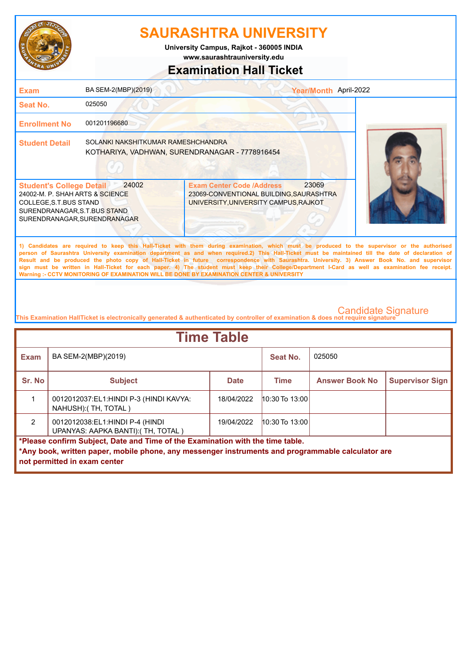

**University Campus, Rajkot - 360005 INDIA**

**www.saurashtrauniversity.edu**

### **Examination Hall Ticket**

| <b>Exam</b>                                                                                                                                                  | BA SEM-2(MBP)(2019)                                                                  |                                                                                                                      | Year/Month April-2022                                                                                                                                                                                                                                                                                                                                                                                                                                                                                                                                                                                  |
|--------------------------------------------------------------------------------------------------------------------------------------------------------------|--------------------------------------------------------------------------------------|----------------------------------------------------------------------------------------------------------------------|--------------------------------------------------------------------------------------------------------------------------------------------------------------------------------------------------------------------------------------------------------------------------------------------------------------------------------------------------------------------------------------------------------------------------------------------------------------------------------------------------------------------------------------------------------------------------------------------------------|
| Seat No.                                                                                                                                                     | 025050                                                                               |                                                                                                                      |                                                                                                                                                                                                                                                                                                                                                                                                                                                                                                                                                                                                        |
| <b>Enrollment No</b>                                                                                                                                         | 001201196680                                                                         |                                                                                                                      |                                                                                                                                                                                                                                                                                                                                                                                                                                                                                                                                                                                                        |
| <b>Student Detail</b>                                                                                                                                        | SOLANKI NAKSHITKUMAR RAMESHCHANDRA<br>KOTHARIYA, VADHWAN, SURENDRANAGAR - 7778916454 |                                                                                                                      |                                                                                                                                                                                                                                                                                                                                                                                                                                                                                                                                                                                                        |
| <b>Student's College Detail</b><br>24002-M. P. SHAH ARTS & SCIENCE<br>COLLEGE, S.T.BUS STAND<br>SURENDRANAGAR, S.T.BUS STAND<br>SURENDRANAGAR, SURENDRANAGAR | 24002                                                                                | <b>Exam Center Code /Address</b><br>23069-CONVENTIONAL BUILDING, SAURASHTRA<br>UNIVERSITY, UNIVERSITY CAMPUS, RAJKOT | 23069                                                                                                                                                                                                                                                                                                                                                                                                                                                                                                                                                                                                  |
|                                                                                                                                                              |                                                                                      | Warning :- CCTV MONITORING OF EXAMINATION WILL BE DONE BY EXAMINATION CENTER & UNIVERSITY                            | 1) Candidates are required to keep this Hall-Ticket with them during examination, which must be produced to the supervisor or the authorised<br>person of Saurashtra University examination department as and when required.2) This Hall-Ticket must be maintained till the date of declaration of<br>Result and be produced the photo copy of Hall-Ticket in future correspondence with Saurashtra. University. 3) Answer Book No. and supervisor<br>sign must be written in Hall-Ticket for each paper. 4) The student must keep their College/Department I-Card as well as examination fee receipt. |

| <b>Time Table</b>                                                                                 |                                                                       |             |                    |                       |                        |
|---------------------------------------------------------------------------------------------------|-----------------------------------------------------------------------|-------------|--------------------|-----------------------|------------------------|
| <b>Exam</b>                                                                                       | BA SEM-2(MBP)(2019)                                                   |             | Seat No.           | 025050                |                        |
| Sr. No                                                                                            | <b>Subject</b>                                                        | <b>Date</b> | <b>Time</b>        | <b>Answer Book No</b> | <b>Supervisor Sign</b> |
|                                                                                                   | 0012012037:EL1:HINDI P-3 (HINDI KAVYA:<br>NAHUSH): (TH, TOTAL)        | 18/04/2022  | $10:30$ To $13:00$ |                       |                        |
| $\mathcal{P}$                                                                                     | 0012012038:EL1:HINDI P-4 (HINDI<br>UPANYAS: AAPKA BANTI): (TH, TOTAL) | 19/04/2022  | $10:30$ To $13:00$ |                       |                        |
| *Please confirm Subject, Date and Time of the Examination with the time table.                    |                                                                       |             |                    |                       |                        |
| *Any book, written paper, mobile phone, any messenger instruments and programmable calculator are |                                                                       |             |                    |                       |                        |
|                                                                                                   | not permitted in exam center                                          |             |                    |                       |                        |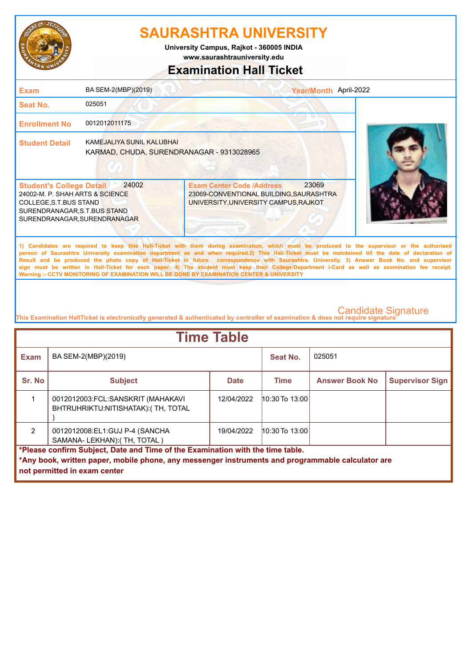

**www.saurashtrauniversity.edu University Campus, Rajkot - 360005 INDIA**

# **Examination Hall Ticket**

| <b>Exam</b>                                                                                                                                                  | BA SEM-2(MBP)(2019)                                                    | Year/Month April-2022                                                                                                                                                                                                                                                                                                                                                                                                                                                                                                                                                                                                                                                                               |  |
|--------------------------------------------------------------------------------------------------------------------------------------------------------------|------------------------------------------------------------------------|-----------------------------------------------------------------------------------------------------------------------------------------------------------------------------------------------------------------------------------------------------------------------------------------------------------------------------------------------------------------------------------------------------------------------------------------------------------------------------------------------------------------------------------------------------------------------------------------------------------------------------------------------------------------------------------------------------|--|
| Seat No.                                                                                                                                                     | 025051                                                                 |                                                                                                                                                                                                                                                                                                                                                                                                                                                                                                                                                                                                                                                                                                     |  |
| <b>Enrollment No</b>                                                                                                                                         | 0012012011175                                                          |                                                                                                                                                                                                                                                                                                                                                                                                                                                                                                                                                                                                                                                                                                     |  |
| <b>Student Detail</b>                                                                                                                                        | KAMEJALIYA SUNIL KALUBHAI<br>KARMAD, CHUDA, SURENDRANAGAR - 9313028965 |                                                                                                                                                                                                                                                                                                                                                                                                                                                                                                                                                                                                                                                                                                     |  |
| <b>Student's College Detail</b><br>24002-M. P. SHAH ARTS & SCIENCE<br>COLLEGE, S.T.BUS STAND<br>SURENDRANAGAR, S.T.BUS STAND<br>SURENDRANAGAR, SURENDRANAGAR | 24002                                                                  | 23069<br><b>Exam Center Code /Address</b><br>23069-CONVENTIONAL BUILDING, SAURASHTRA<br>UNIVERSITY, UNIVERSITY CAMPUS, RAJKOT                                                                                                                                                                                                                                                                                                                                                                                                                                                                                                                                                                       |  |
|                                                                                                                                                              |                                                                        | 1) Candidates are required to keep this Hall-Ticket with them during examination, which must be produced to the supervisor or the authorised<br>person of Saurashtra University examination department as and when required.2) This Hall-Ticket must be maintained till the date of declaration of<br>Result and be produced the photo copy of Hall-Ticket in future correspondence with Saurashtra. University. 3) Answer Book No. and supervisor<br>sign must be written in Hall-Ticket for each paper. 4) The student must keep their College/Department I-Card as well as examination fee receipt.<br>Warning :- CCTV MONITORING OF EXAMINATION WILL BE DONE BY EXAMINATION CENTER & UNIVERSITY |  |
|                                                                                                                                                              |                                                                        |                                                                                                                                                                                                                                                                                                                                                                                                                                                                                                                                                                                                                                                                                                     |  |

| <b>Time Table</b>                                                              |                                                                                                                                   |             |                    |                       |                        |  |  |
|--------------------------------------------------------------------------------|-----------------------------------------------------------------------------------------------------------------------------------|-------------|--------------------|-----------------------|------------------------|--|--|
| <b>Exam</b>                                                                    | BA SEM-2(MBP)(2019)                                                                                                               |             | Seat No.           | 025051                |                        |  |  |
| Sr. No                                                                         | <b>Subject</b>                                                                                                                    | <b>Date</b> | <b>Time</b>        | <b>Answer Book No</b> | <b>Supervisor Sign</b> |  |  |
|                                                                                | 0012012003:FCL:SANSKRIT (MAHAKAVI<br>BHTRUHRIKTU:NITISHATAK): (TH, TOTAL                                                          | 12/04/2022  | $10:30$ To $13:00$ |                       |                        |  |  |
| $\mathcal{P}$                                                                  | 0012012008:EL1:GUJ P-4 (SANCHA<br>SAMANA-LEKHAN): (TH, TOTAL)                                                                     | 19/04/2022  | $10:30$ To $13:00$ |                       |                        |  |  |
| *Please confirm Subject, Date and Time of the Examination with the time table. |                                                                                                                                   |             |                    |                       |                        |  |  |
|                                                                                | *Any book, written paper, mobile phone, any messenger instruments and programmable calculator are<br>not permitted in exam center |             |                    |                       |                        |  |  |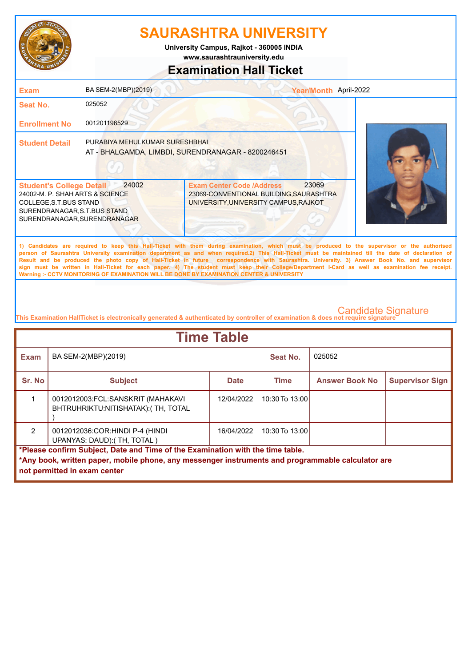

**www.saurashtrauniversity.edu University Campus, Rajkot - 360005 INDIA**

### **Examination Hall Ticket**

| <b>Exam</b>                                                                                                                                                  | BA SEM-2(MBP)(2019)            | Year/Month April-2022                                                                                                                                                                                                                                                                                                                                                                                                                                                                                                                                                                                                                                                                               |  |
|--------------------------------------------------------------------------------------------------------------------------------------------------------------|--------------------------------|-----------------------------------------------------------------------------------------------------------------------------------------------------------------------------------------------------------------------------------------------------------------------------------------------------------------------------------------------------------------------------------------------------------------------------------------------------------------------------------------------------------------------------------------------------------------------------------------------------------------------------------------------------------------------------------------------------|--|
| <b>Seat No.</b>                                                                                                                                              | 025052                         |                                                                                                                                                                                                                                                                                                                                                                                                                                                                                                                                                                                                                                                                                                     |  |
| <b>Enrollment No</b>                                                                                                                                         | 001201196529                   |                                                                                                                                                                                                                                                                                                                                                                                                                                                                                                                                                                                                                                                                                                     |  |
| <b>Student Detail</b>                                                                                                                                        | PURABIYA MEHULKUMAR SURESHBHAI | AT - BHALGAMDA, LIMBDI, SURENDRANAGAR - 8200246451                                                                                                                                                                                                                                                                                                                                                                                                                                                                                                                                                                                                                                                  |  |
| <b>Student's College Detail</b><br>24002-M. P. SHAH ARTS & SCIENCE<br>COLLEGE, S.T.BUS STAND<br>SURENDRANAGAR, S.T.BUS STAND<br>SURENDRANAGAR, SURENDRANAGAR | 24002                          | 23069<br><b>Exam Center Code /Address</b><br>23069-CONVENTIONAL BUILDING, SAURASHTRA<br>UNIVERSITY, UNIVERSITY CAMPUS, RAJKOT                                                                                                                                                                                                                                                                                                                                                                                                                                                                                                                                                                       |  |
|                                                                                                                                                              |                                | 1) Candidates are required to keep this Hall-Ticket with them during examination, which must be produced to the supervisor or the authorised<br>person of Saurashtra University examination department as and when required.2) This Hall-Ticket must be maintained till the date of declaration of<br>Result and be produced the photo copy of Hall-Ticket in future correspondence with Saurashtra. University. 3) Answer Book No. and supervisor<br>sign must be written in Hall-Ticket for each paper. 4) The student must keep their College/Department I-Card as well as examination fee receipt.<br>Warning :- CCTV MONITORING OF EXAMINATION WILL BE DONE BY EXAMINATION CENTER & UNIVERSITY |  |
|                                                                                                                                                              |                                |                                                                                                                                                                                                                                                                                                                                                                                                                                                                                                                                                                                                                                                                                                     |  |

|                                                                                                                                   | <b>Time Table</b> |             |                                          |                        |  |  |  |
|-----------------------------------------------------------------------------------------------------------------------------------|-------------------|-------------|------------------------------------------|------------------------|--|--|--|
| BA SEM-2(MBP)(2019)                                                                                                               |                   | Seat No.    | 025052                                   |                        |  |  |  |
| <b>Subject</b>                                                                                                                    | <b>Date</b>       | <b>Time</b> | <b>Answer Book No</b>                    | <b>Supervisor Sign</b> |  |  |  |
| 0012012003:FCL:SANSKRIT (MAHAKAVI<br>BHTRUHRIKTU:NITISHATAK): (TH, TOTAL                                                          | 12/04/2022        |             |                                          |                        |  |  |  |
| 0012012036: COR: HINDI P-4 (HINDI<br>UPANYAS: DAUD): (TH, TOTAL)                                                                  | 16/04/2022        |             |                                          |                        |  |  |  |
| *Please confirm Subject, Date and Time of the Examination with the time table.                                                    |                   |             |                                          |                        |  |  |  |
| *Any book, written paper, mobile phone, any messenger instruments and programmable calculator are<br>not permitted in exam center |                   |             |                                          |                        |  |  |  |
|                                                                                                                                   |                   |             | $10:30$ To $13:00$<br>$10:30$ To $13:00$ |                        |  |  |  |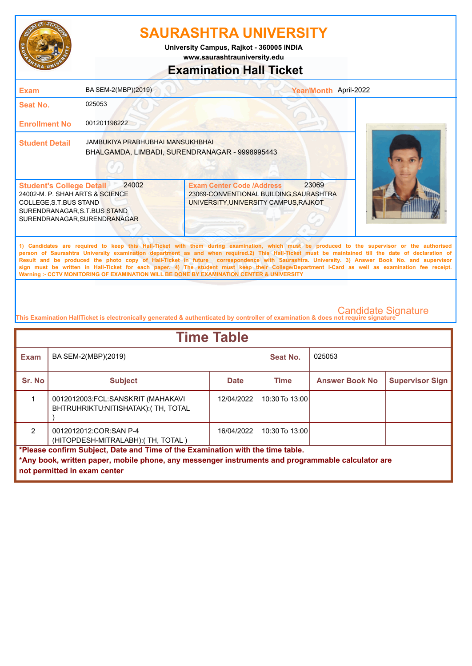

**University Campus, Rajkot - 360005 INDIA**

**www.saurashtrauniversity.edu**

### **Examination Hall Ticket**

| <b>Exam</b>                                                                                                                                                  | BA SEM-2(MBP)(2019)                                                                |                                                                                                                      | Year/Month April-2022                                                                                                                                                                                                                                                                                                                                                                                                                                                                                                                                                                                  |  |
|--------------------------------------------------------------------------------------------------------------------------------------------------------------|------------------------------------------------------------------------------------|----------------------------------------------------------------------------------------------------------------------|--------------------------------------------------------------------------------------------------------------------------------------------------------------------------------------------------------------------------------------------------------------------------------------------------------------------------------------------------------------------------------------------------------------------------------------------------------------------------------------------------------------------------------------------------------------------------------------------------------|--|
| <b>Seat No.</b>                                                                                                                                              | 025053                                                                             |                                                                                                                      |                                                                                                                                                                                                                                                                                                                                                                                                                                                                                                                                                                                                        |  |
| <b>Enrollment No</b>                                                                                                                                         | 001201196222                                                                       |                                                                                                                      |                                                                                                                                                                                                                                                                                                                                                                                                                                                                                                                                                                                                        |  |
| <b>Student Detail</b>                                                                                                                                        | JAMBUKIYA PRABHUBHAI MANSUKHBHAI<br>BHALGAMDA, LIMBADI, SURENDRANAGAR - 9998995443 |                                                                                                                      |                                                                                                                                                                                                                                                                                                                                                                                                                                                                                                                                                                                                        |  |
| <b>Student's College Detail</b><br>24002-M. P. SHAH ARTS & SCIENCE<br>COLLEGE, S.T.BUS STAND<br>SURENDRANAGAR, S.T.BUS STAND<br>SURENDRANAGAR, SURENDRANAGAR | 24002                                                                              | <b>Exam Center Code /Address</b><br>23069-CONVENTIONAL BUILDING, SAURASHTRA<br>UNIVERSITY, UNIVERSITY CAMPUS, RAJKOT | 23069                                                                                                                                                                                                                                                                                                                                                                                                                                                                                                                                                                                                  |  |
|                                                                                                                                                              |                                                                                    | Warning :- CCTV MONITORING OF EXAMINATION WILL BE DONE BY EXAMINATION CENTER & UNIVERSITY                            | 1) Candidates are required to keep this Hall-Ticket with them during examination, which must be produced to the supervisor or the authorised<br>person of Saurashtra University examination department as and when required.2) This Hall-Ticket must be maintained till the date of declaration of<br>Result and be produced the photo copy of Hall-Ticket in future correspondence with Saurashtra. University. 3) Answer Book No. and supervisor<br>sign must be written in Hall-Ticket for each paper. 4) The student must keep their College/Department I-Card as well as examination fee receipt. |  |

| <b>Time Table</b>                                                              |                                                                                                   |             |                    |                       |                        |  |  |
|--------------------------------------------------------------------------------|---------------------------------------------------------------------------------------------------|-------------|--------------------|-----------------------|------------------------|--|--|
| <b>Exam</b>                                                                    | BA SEM-2(MBP)(2019)                                                                               |             | Seat No.           | 025053                |                        |  |  |
| Sr. No                                                                         | <b>Subject</b>                                                                                    | <b>Date</b> | <b>Time</b>        | <b>Answer Book No</b> | <b>Supervisor Sign</b> |  |  |
|                                                                                | 0012012003:FCL:SANSKRIT (MAHAKAVI<br>BHTRUHRIKTU: NITISHATAK): (TH, TOTAL                         | 12/04/2022  | $10:30$ To $13:00$ |                       |                        |  |  |
| $\mathfrak{p}$                                                                 | 0012012012:COR:SAN P-4<br>(HITOPDESH-MITRALABH): (TH, TOTAL)                                      | 16/04/2022  | $10:30$ To $13:00$ |                       |                        |  |  |
| *Please confirm Subject, Date and Time of the Examination with the time table. |                                                                                                   |             |                    |                       |                        |  |  |
|                                                                                | *Any book, written paper, mobile phone, any messenger instruments and programmable calculator are |             |                    |                       |                        |  |  |
|                                                                                | not permitted in exam center                                                                      |             |                    |                       |                        |  |  |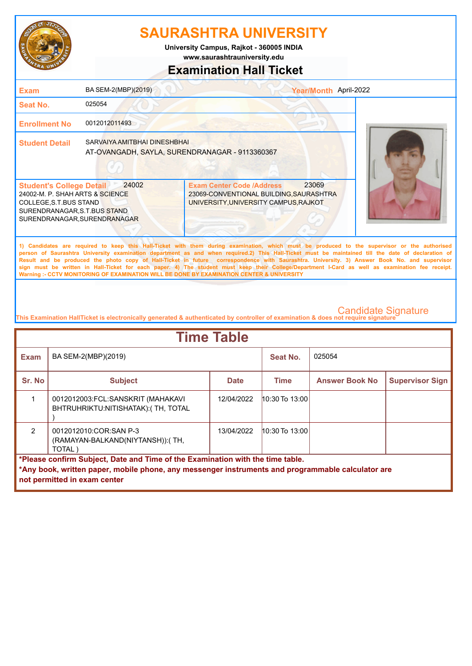

**www.saurashtrauniversity.edu University Campus, Rajkot - 360005 INDIA**

# **Examination Hall Ticket**

### 23069-CONVENTIONAL BUILDING,SAURASHTRA UNIVERSITY,UNIVERSITY CAMPUS,RAJKOT 24002-M. P. SHAH ARTS & SCIENCE COLLEGE,S.T.BUS STAND SURENDRANAGAR,S.T.BUS STAND SURENDRANAGAR,SURENDRANAGAR **Student's College Detail 24002 Student Detail** SARVAIYA AMITBHAI DINESHBHAI **Enrollment No** 0012012011493 **Seat No.** 025054 **Exam** BA SEM-2(MBP)(2019) **1) Candidates are required to keep this Hall-Ticket with them during examination, which must be produced to the supervisor or the authorised person of Saurashtra University examination department as and when required.2) This Hall-Ticket must be maintained till the date of declaration of Result and be produced the photo copy of Hall-Ticket in future correspondence with Saurashtra. University. 3) Answer Book No. and supervisor sign must be written in Hall-Ticket for each paper. 4) The student must keep their College/Department I-Card as well as examination fee receipt. Warning :- CCTV MONITORING OF EXAMINATION WILL BE DONE BY EXAMINATION CENTER & UNIVERSITY** Exam Center Code /Address 23069 Year/Month April-2022 AT-OVANGADH, SAYLA, SURENDRANAGAR - 9113360367

| <b>Time Table</b>                                                                                                                                                                                                   |                                                                          |             |                    |                       |                        |  |  |  |  |
|---------------------------------------------------------------------------------------------------------------------------------------------------------------------------------------------------------------------|--------------------------------------------------------------------------|-------------|--------------------|-----------------------|------------------------|--|--|--|--|
| <b>Exam</b>                                                                                                                                                                                                         | BA SEM-2(MBP)(2019)                                                      |             | Seat No.           | 025054                |                        |  |  |  |  |
| Sr. No                                                                                                                                                                                                              | <b>Subject</b>                                                           | <b>Date</b> | Time               | <b>Answer Book No</b> | <b>Supervisor Sign</b> |  |  |  |  |
|                                                                                                                                                                                                                     | 0012012003:FCL:SANSKRIT (MAHAKAVI<br>BHTRUHRIKTU:NITISHATAK): (TH, TOTAL | 12/04/2022  | 10:30 To 13:00     |                       |                        |  |  |  |  |
| $\mathfrak{p}$                                                                                                                                                                                                      | 0012012010:COR:SAN P-3<br>(RAMAYAN-BALKAND(NIYTANSH)): (TH,<br>TOTAL)    | 13/04/2022  | $10:30$ To $13:00$ |                       |                        |  |  |  |  |
| *Please confirm Subject, Date and Time of the Examination with the time table.<br>*Any book, written paper, mobile phone, any messenger instruments and programmable calculator are<br>not permitted in exam center |                                                                          |             |                    |                       |                        |  |  |  |  |